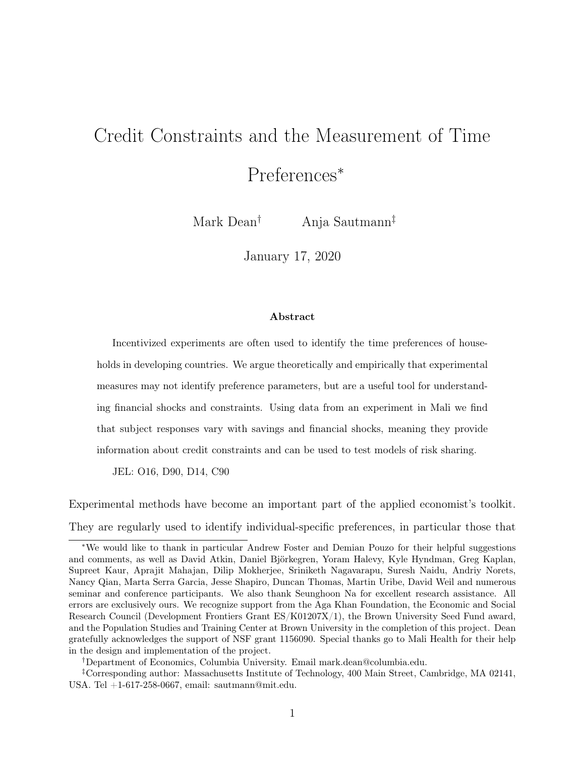# Credit Constraints and the Measurement of Time

# Preferences<sup>∗</sup>

Mark Dean† Anja Sautmann‡

January 17, 2020

#### Abstract

Incentivized experiments are often used to identify the time preferences of households in developing countries. We argue theoretically and empirically that experimental measures may not identify preference parameters, but are a useful tool for understanding financial shocks and constraints. Using data from an experiment in Mali we find that subject responses vary with savings and financial shocks, meaning they provide information about credit constraints and can be used to test models of risk sharing.

JEL: O16, D90, D14, C90

Experimental methods have become an important part of the applied economist's toolkit. They are regularly used to identify individual-specific preferences, in particular those that

†Department of Economics, Columbia University. Email mark.dean@columbia.edu.

<sup>∗</sup>We would like to thank in particular Andrew Foster and Demian Pouzo for their helpful suggestions and comments, as well as David Atkin, Daniel Björkegren, Yoram Halevy, Kyle Hyndman, Greg Kaplan, Supreet Kaur, Aprajit Mahajan, Dilip Mokherjee, Sriniketh Nagavarapu, Suresh Naidu, Andriy Norets, Nancy Qian, Marta Serra Garcia, Jesse Shapiro, Duncan Thomas, Martin Uribe, David Weil and numerous seminar and conference participants. We also thank Seunghoon Na for excellent research assistance. All errors are exclusively ours. We recognize support from the Aga Khan Foundation, the Economic and Social Research Council (Development Frontiers Grant ES/K01207X/1), the Brown University Seed Fund award, and the Population Studies and Training Center at Brown University in the completion of this project. Dean gratefully acknowledges the support of NSF grant 1156090. Special thanks go to Mali Health for their help in the design and implementation of the project.

<sup>‡</sup>Corresponding author: Massachusetts Institute of Technology, 400 Main Street, Cambridge, MA 02141, USA. Tel +1-617-258-0667, email: sautmann@mit.edu.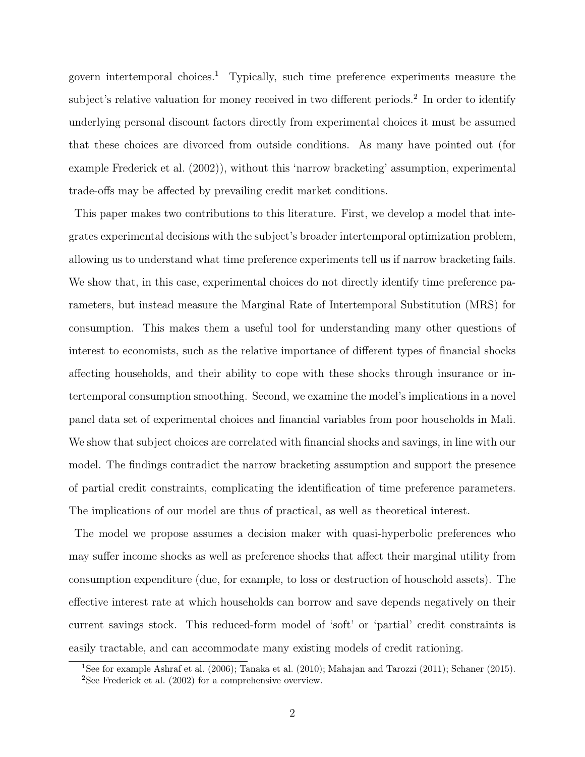govern intertemporal choices.<sup>1</sup> Typically, such time preference experiments measure the subject's relative valuation for money received in two different periods.<sup>2</sup> In order to identify underlying personal discount factors directly from experimental choices it must be assumed that these choices are divorced from outside conditions. As many have pointed out (for example Frederick et al. (2002)), without this 'narrow bracketing' assumption, experimental trade-offs may be affected by prevailing credit market conditions.

This paper makes two contributions to this literature. First, we develop a model that integrates experimental decisions with the subject's broader intertemporal optimization problem, allowing us to understand what time preference experiments tell us if narrow bracketing fails. We show that, in this case, experimental choices do not directly identify time preference parameters, but instead measure the Marginal Rate of Intertemporal Substitution (MRS) for consumption. This makes them a useful tool for understanding many other questions of interest to economists, such as the relative importance of different types of financial shocks affecting households, and their ability to cope with these shocks through insurance or intertemporal consumption smoothing. Second, we examine the model's implications in a novel panel data set of experimental choices and financial variables from poor households in Mali. We show that subject choices are correlated with financial shocks and savings, in line with our model. The findings contradict the narrow bracketing assumption and support the presence of partial credit constraints, complicating the identification of time preference parameters. The implications of our model are thus of practical, as well as theoretical interest.

The model we propose assumes a decision maker with quasi-hyperbolic preferences who may suffer income shocks as well as preference shocks that affect their marginal utility from consumption expenditure (due, for example, to loss or destruction of household assets). The effective interest rate at which households can borrow and save depends negatively on their current savings stock. This reduced-form model of 'soft' or 'partial' credit constraints is easily tractable, and can accommodate many existing models of credit rationing.

<sup>1</sup>See for example Ashraf et al. (2006); Tanaka et al. (2010); Mahajan and Tarozzi (2011); Schaner (2015). <sup>2</sup>See Frederick et al.  $(2002)$  for a comprehensive overview.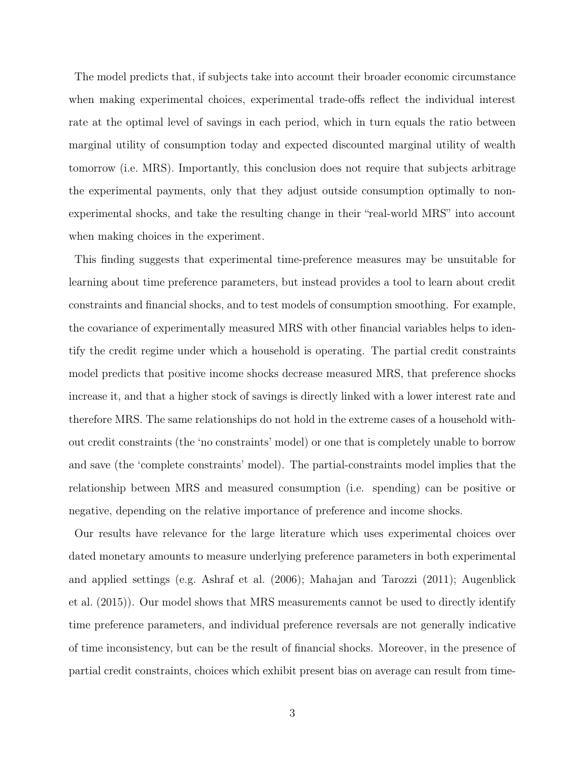The model predicts that, if subjects take into account their broader economic circumstance when making experimental choices, experimental trade-offs reflect the individual interest rate at the optimal level of savings in each period, which in turn equals the ratio between marginal utility of consumption today and expected discounted marginal utility of wealth tomorrow (i.e. MRS). Importantly, this conclusion does not require that subjects arbitrage the experimental payments, only that they adjust outside consumption optimally to nonexperimental shocks, and take the resulting change in their "real-world MRS" into account when making choices in the experiment.

This finding suggests that experimental time-preference measures may be unsuitable for learning about time preference parameters, but instead provides a tool to learn about credit constraints and financial shocks, and to test models of consumption smoothing. For example, the covariance of experimentally measured MRS with other financial variables helps to identify the credit regime under which a household is operating. The partial credit constraints model predicts that positive income shocks decrease measured MRS, that preference shocks increase it, and that a higher stock of savings is directly linked with a lower interest rate and therefore MRS. The same relationships do not hold in the extreme cases of a household without credit constraints (the 'no constraints' model) or one that is completely unable to borrow and save (the 'complete constraints' model). The partial-constraints model implies that the relationship between MRS and measured consumption (i.e. spending) can be positive or negative, depending on the relative importance of preference and income shocks.

Our results have relevance for the large literature which uses experimental choices over dated monetary amounts to measure underlying preference parameters in both experimental and applied settings (e.g. Ashraf et al. (2006); Mahajan and Tarozzi (2011); Augenblick et al. (2015)). Our model shows that MRS measurements cannot be used to directly identify time preference parameters, and individual preference reversals are not generally indicative of time inconsistency, but can be the result of financial shocks. Moreover, in the presence of partial credit constraints, choices which exhibit present bias on average can result from time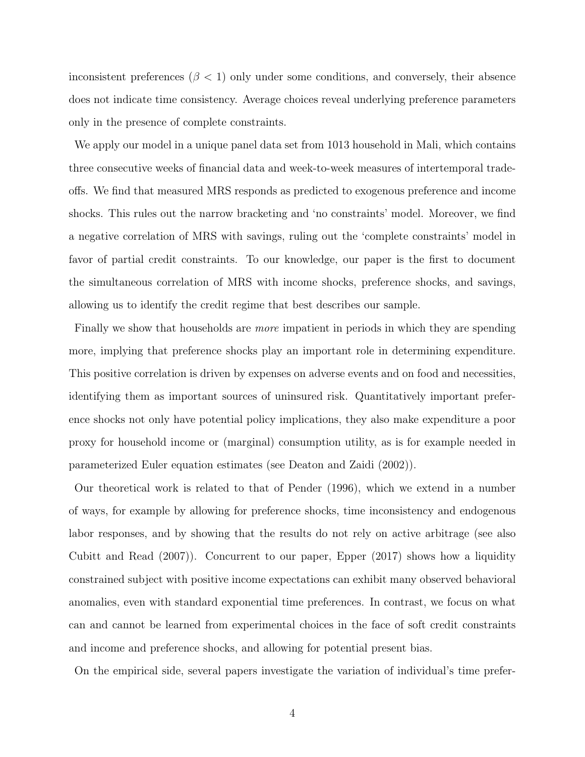inconsistent preferences ( $\beta$  < 1) only under some conditions, and conversely, their absence does not indicate time consistency. Average choices reveal underlying preference parameters only in the presence of complete constraints.

We apply our model in a unique panel data set from 1013 household in Mali, which contains three consecutive weeks of financial data and week-to-week measures of intertemporal tradeoffs. We find that measured MRS responds as predicted to exogenous preference and income shocks. This rules out the narrow bracketing and 'no constraints' model. Moreover, we find a negative correlation of MRS with savings, ruling out the 'complete constraints' model in favor of partial credit constraints. To our knowledge, our paper is the first to document the simultaneous correlation of MRS with income shocks, preference shocks, and savings, allowing us to identify the credit regime that best describes our sample.

Finally we show that households are *more* impatient in periods in which they are spending more, implying that preference shocks play an important role in determining expenditure. This positive correlation is driven by expenses on adverse events and on food and necessities, identifying them as important sources of uninsured risk. Quantitatively important preference shocks not only have potential policy implications, they also make expenditure a poor proxy for household income or (marginal) consumption utility, as is for example needed in parameterized Euler equation estimates (see Deaton and Zaidi (2002)).

Our theoretical work is related to that of Pender (1996), which we extend in a number of ways, for example by allowing for preference shocks, time inconsistency and endogenous labor responses, and by showing that the results do not rely on active arbitrage (see also Cubitt and Read (2007)). Concurrent to our paper, Epper (2017) shows how a liquidity constrained subject with positive income expectations can exhibit many observed behavioral anomalies, even with standard exponential time preferences. In contrast, we focus on what can and cannot be learned from experimental choices in the face of soft credit constraints and income and preference shocks, and allowing for potential present bias.

On the empirical side, several papers investigate the variation of individual's time prefer-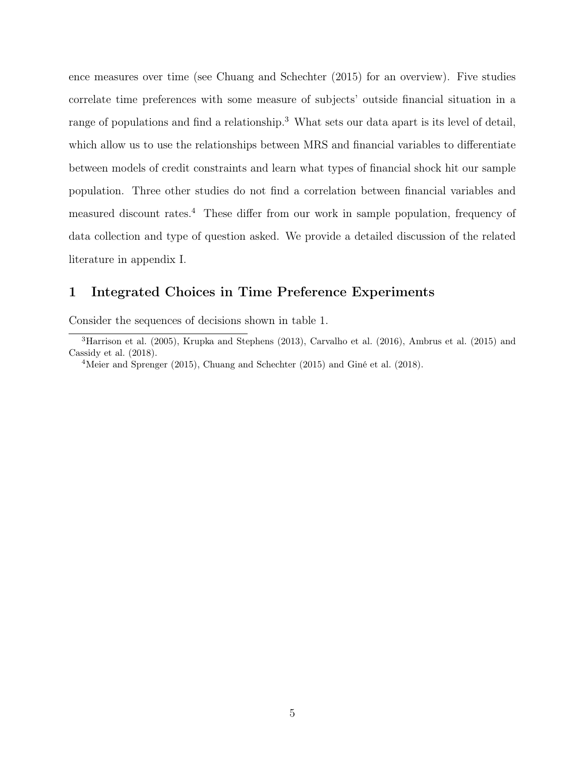ence measures over time (see Chuang and Schechter (2015) for an overview). Five studies correlate time preferences with some measure of subjects' outside financial situation in a range of populations and find a relationship.<sup>3</sup> What sets our data apart is its level of detail, which allow us to use the relationships between MRS and financial variables to differentiate between models of credit constraints and learn what types of financial shock hit our sample population. Three other studies do not find a correlation between financial variables and measured discount rates.<sup>4</sup> These differ from our work in sample population, frequency of data collection and type of question asked. We provide a detailed discussion of the related literature in appendix I.

# 1 Integrated Choices in Time Preference Experiments

Consider the sequences of decisions shown in table 1.

<sup>3</sup>Harrison et al. (2005), Krupka and Stephens (2013), Carvalho et al. (2016), Ambrus et al. (2015) and Cassidy et al. (2018).

<sup>4</sup>Meier and Sprenger (2015), Chuang and Schechter (2015) and Giné et al. (2018).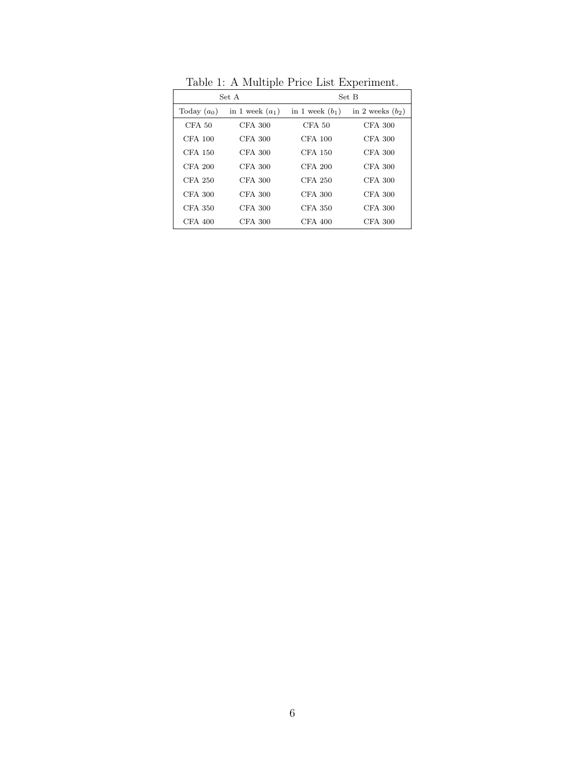|               | Set A             | Set B             |                    |  |  |
|---------------|-------------------|-------------------|--------------------|--|--|
| Today $(a_0)$ | in 1 week $(a_1)$ | in 1 week $(b_1)$ | in 2 weeks $(b_2)$ |  |  |
| $CFA$ 50      | $CFA$ 300         | $CFA$ 50          | CFA 300            |  |  |
| CFA 100       | $CFA$ 300         | CFA 100           | CFA 300            |  |  |
| CFA 150       | CFA 300           | CFA 150           | CFA 300            |  |  |
| $CFA$ 200     | $CFA$ 300         | $CFA$ 200         | CFA 300            |  |  |
| CFA 250       | $CFA$ 300         | CFA 250           | <b>CFA 300</b>     |  |  |
| CFA 300       | $CFA$ 300         | CFA 300           | CFA 300            |  |  |
| CFA 350       | $CFA$ 300         | CFA 350           | CFA 300            |  |  |
| $CFA$ 400     | $CFA$ 300         | CFA 400           | CFA 300            |  |  |

Table 1: A Multiple Price List Experiment.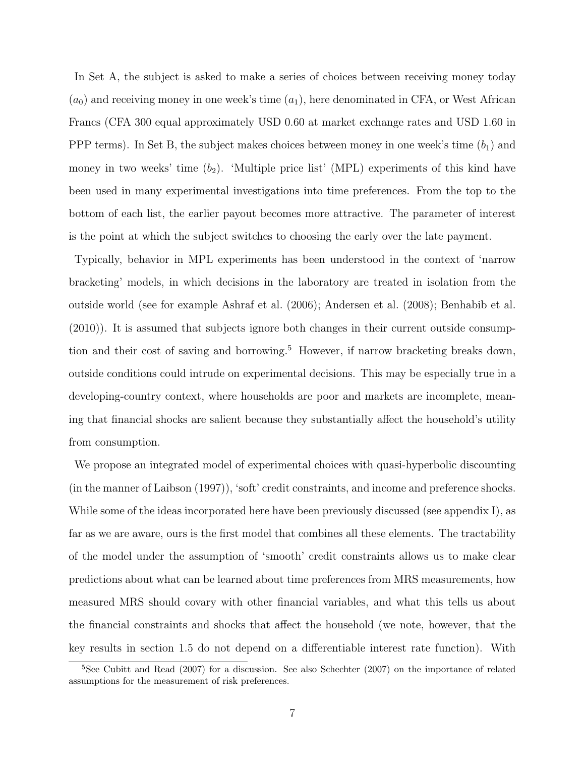In Set A, the subject is asked to make a series of choices between receiving money today  $(a_0)$  and receiving money in one week's time  $(a_1)$ , here denominated in CFA, or West African Francs (CFA 300 equal approximately USD 0.60 at market exchange rates and USD 1.60 in PPP terms). In Set B, the subject makes choices between money in one week's time  $(b_1)$  and money in two weeks' time  $(b_2)$ . 'Multiple price list' (MPL) experiments of this kind have been used in many experimental investigations into time preferences. From the top to the bottom of each list, the earlier payout becomes more attractive. The parameter of interest is the point at which the subject switches to choosing the early over the late payment.

Typically, behavior in MPL experiments has been understood in the context of 'narrow bracketing' models, in which decisions in the laboratory are treated in isolation from the outside world (see for example Ashraf et al. (2006); Andersen et al. (2008); Benhabib et al. (2010)). It is assumed that subjects ignore both changes in their current outside consumption and their cost of saving and borrowing.<sup>5</sup> However, if narrow bracketing breaks down, outside conditions could intrude on experimental decisions. This may be especially true in a developing-country context, where households are poor and markets are incomplete, meaning that financial shocks are salient because they substantially affect the household's utility from consumption.

We propose an integrated model of experimental choices with quasi-hyperbolic discounting (in the manner of Laibson (1997)), 'soft' credit constraints, and income and preference shocks. While some of the ideas incorporated here have been previously discussed (see appendix I), as far as we are aware, ours is the first model that combines all these elements. The tractability of the model under the assumption of 'smooth' credit constraints allows us to make clear predictions about what can be learned about time preferences from MRS measurements, how measured MRS should covary with other financial variables, and what this tells us about the financial constraints and shocks that affect the household (we note, however, that the key results in section 1.5 do not depend on a differentiable interest rate function). With

<sup>&</sup>lt;sup>5</sup>See Cubitt and Read (2007) for a discussion. See also Schechter (2007) on the importance of related assumptions for the measurement of risk preferences.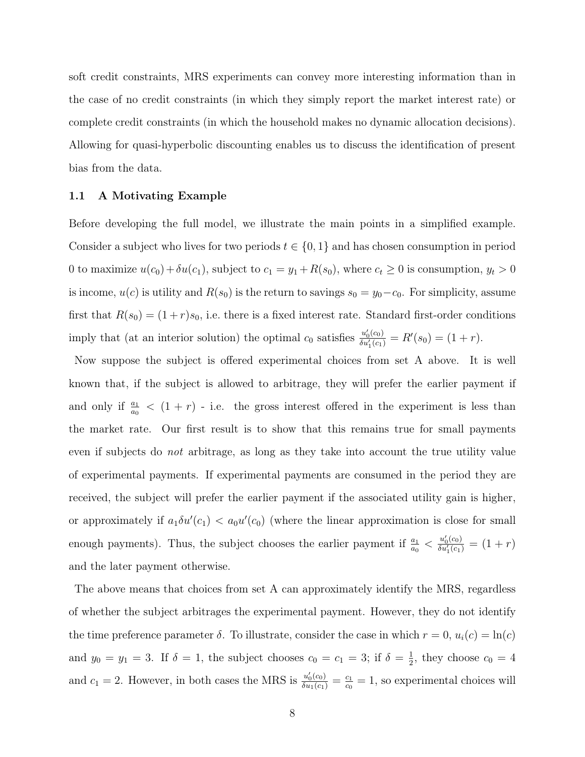soft credit constraints, MRS experiments can convey more interesting information than in the case of no credit constraints (in which they simply report the market interest rate) or complete credit constraints (in which the household makes no dynamic allocation decisions). Allowing for quasi-hyperbolic discounting enables us to discuss the identification of present bias from the data.

#### 1.1 A Motivating Example

Before developing the full model, we illustrate the main points in a simplified example. Consider a subject who lives for two periods  $t \in \{0, 1\}$  and has chosen consumption in period 0 to maximize  $u(c_0) + \delta u(c_1)$ , subject to  $c_1 = y_1 + R(s_0)$ , where  $c_t \ge 0$  is consumption,  $y_t > 0$ is income,  $u(c)$  is utility and  $R(s_0)$  is the return to savings  $s_0 = y_0 - c_0$ . For simplicity, assume first that  $R(s_0) = (1+r)s_0$ , i.e. there is a fixed interest rate. Standard first-order conditions imply that (at an interior solution) the optimal  $c_0$  satisfies  $\frac{u'_0(c_0)}{\delta u'_c(c_1)}$  $\frac{u'_0(c_0)}{\delta u'_1(c_1)} = R'(s_0) = (1+r).$ 

Now suppose the subject is offered experimental choices from set A above. It is well known that, if the subject is allowed to arbitrage, they will prefer the earlier payment if and only if  $\frac{a_1}{a_0} < (1 + r)$  - i.e. the gross interest offered in the experiment is less than the market rate. Our first result is to show that this remains true for small payments even if subjects do not arbitrage, as long as they take into account the true utility value of experimental payments. If experimental payments are consumed in the period they are received, the subject will prefer the earlier payment if the associated utility gain is higher, or approximately if  $a_1 \delta u'(c_1) < a_0 u'(c_0)$  (where the linear approximation is close for small enough payments). Thus, the subject chooses the earlier payment if  $\frac{a_1}{a_0} < \frac{u'_0(c_0)}{\delta u'_1(c_1)}$  $\frac{u_0(c_0)}{\delta u'_1(c_1)} = (1+r)$ and the later payment otherwise.

The above means that choices from set A can approximately identify the MRS, regardless of whether the subject arbitrages the experimental payment. However, they do not identify the time preference parameter  $\delta$ . To illustrate, consider the case in which  $r = 0$ ,  $u_i(c) = \ln(c)$ and  $y_0 = y_1 = 3$ . If  $\delta = 1$ , the subject chooses  $c_0 = c_1 = 3$ ; if  $\delta = \frac{1}{2}$  $\frac{1}{2}$ , they choose  $c_0 = 4$ and  $c_1 = 2$ . However, in both cases the MRS is  $\frac{u'_0(c_0)}{\delta u_1(c_1)} = \frac{c_1}{c_0}$  $\frac{c_1}{c_0} = 1$ , so experimental choices will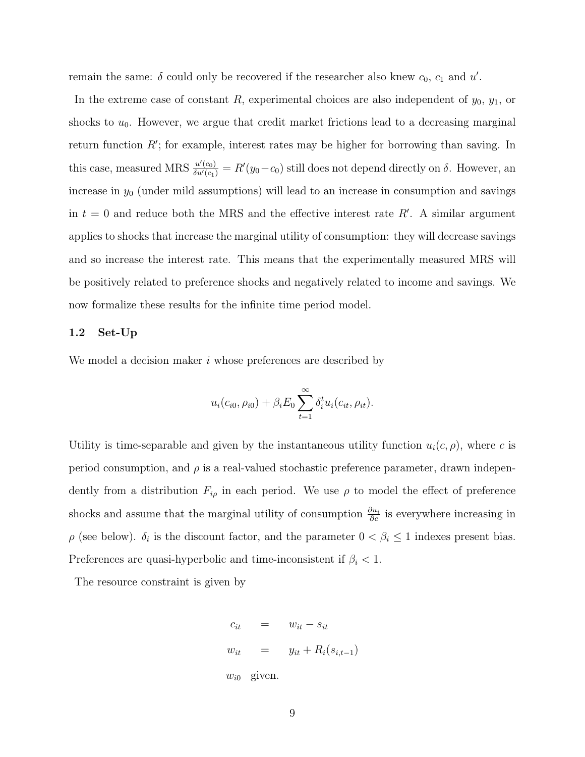remain the same:  $\delta$  could only be recovered if the researcher also knew  $c_0$ ,  $c_1$  and  $u'$ .

In the extreme case of constant  $R$ , experimental choices are also independent of  $y_0$ ,  $y_1$ , or shocks to  $u_0$ . However, we argue that credit market frictions lead to a decreasing marginal return function  $R'$ ; for example, interest rates may be higher for borrowing than saving. In this case, measured MRS  $\frac{u'(c_0)}{\delta u'(c_1)} = R'(y_0 - c_0)$  still does not depend directly on  $\delta$ . However, an increase in  $y_0$  (under mild assumptions) will lead to an increase in consumption and savings in  $t = 0$  and reduce both the MRS and the effective interest rate R'. A similar argument applies to shocks that increase the marginal utility of consumption: they will decrease savings and so increase the interest rate. This means that the experimentally measured MRS will be positively related to preference shocks and negatively related to income and savings. We now formalize these results for the infinite time period model.

#### 1.2 Set-Up

We model a decision maker i whose preferences are described by

$$
u_i(c_{i0}, \rho_{i0}) + \beta_i E_0 \sum_{t=1}^{\infty} \delta_i^t u_i(c_{it}, \rho_{it}).
$$

Utility is time-separable and given by the instantaneous utility function  $u_i(c, \rho)$ , where c is period consumption, and  $\rho$  is a real-valued stochastic preference parameter, drawn independently from a distribution  $F_{i\rho}$  in each period. We use  $\rho$  to model the effect of preference shocks and assume that the marginal utility of consumption  $\frac{\partial u_i}{\partial c}$  is everywhere increasing in  $\rho$  (see below).  $\delta_i$  is the discount factor, and the parameter  $0 < \beta_i \leq 1$  indexes present bias. Preferences are quasi-hyperbolic and time-inconsistent if  $\beta_i$  < 1.

The resource constraint is given by

$$
c_{it} = w_{it} - s_{it}
$$
  
\n
$$
w_{it} = y_{it} + R_i(s_{i,t-1})
$$
  
\n
$$
w_{i0} \text{ given.}
$$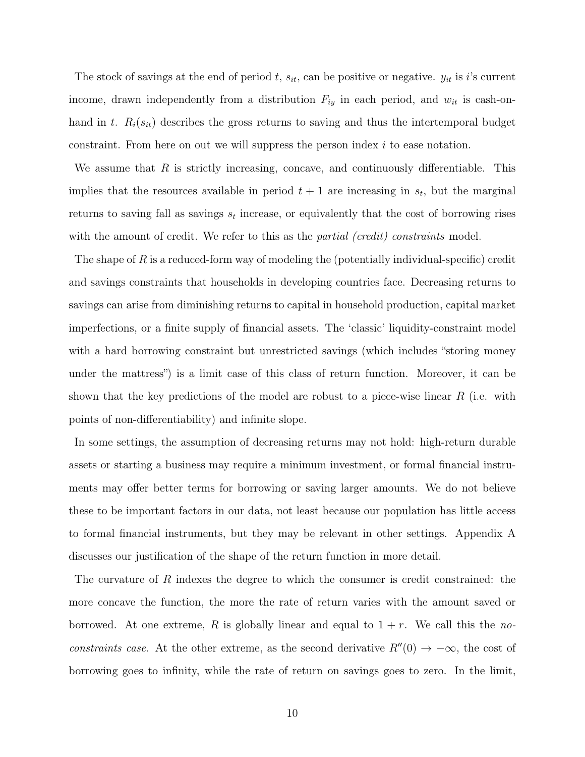The stock of savings at the end of period t,  $s_{it}$ , can be positive or negative.  $y_{it}$  is i's current income, drawn independently from a distribution  $F_{iy}$  in each period, and  $w_{it}$  is cash-onhand in t.  $R_i(s_{it})$  describes the gross returns to saving and thus the intertemporal budget constraint. From here on out we will suppress the person index  $i$  to ease notation.

We assume that  $R$  is strictly increasing, concave, and continuously differentiable. This implies that the resources available in period  $t + 1$  are increasing in  $s_t$ , but the marginal returns to saving fall as savings  $s_t$  increase, or equivalently that the cost of borrowing rises with the amount of credit. We refer to this as the *partial (credit) constraints* model.

The shape of R is a reduced-form way of modeling the (potentially individual-specific) credit and savings constraints that households in developing countries face. Decreasing returns to savings can arise from diminishing returns to capital in household production, capital market imperfections, or a finite supply of financial assets. The 'classic' liquidity-constraint model with a hard borrowing constraint but unrestricted savings (which includes "storing money under the mattress") is a limit case of this class of return function. Moreover, it can be shown that the key predictions of the model are robust to a piece-wise linear  $R$  (i.e. with points of non-differentiability) and infinite slope.

In some settings, the assumption of decreasing returns may not hold: high-return durable assets or starting a business may require a minimum investment, or formal financial instruments may offer better terms for borrowing or saving larger amounts. We do not believe these to be important factors in our data, not least because our population has little access to formal financial instruments, but they may be relevant in other settings. Appendix A discusses our justification of the shape of the return function in more detail.

The curvature of R indexes the degree to which the consumer is credit constrained: the more concave the function, the more the rate of return varies with the amount saved or borrowed. At one extreme, R is globally linear and equal to  $1 + r$ . We call this the noconstraints case. At the other extreme, as the second derivative  $R''(0) \rightarrow -\infty$ , the cost of borrowing goes to infinity, while the rate of return on savings goes to zero. In the limit,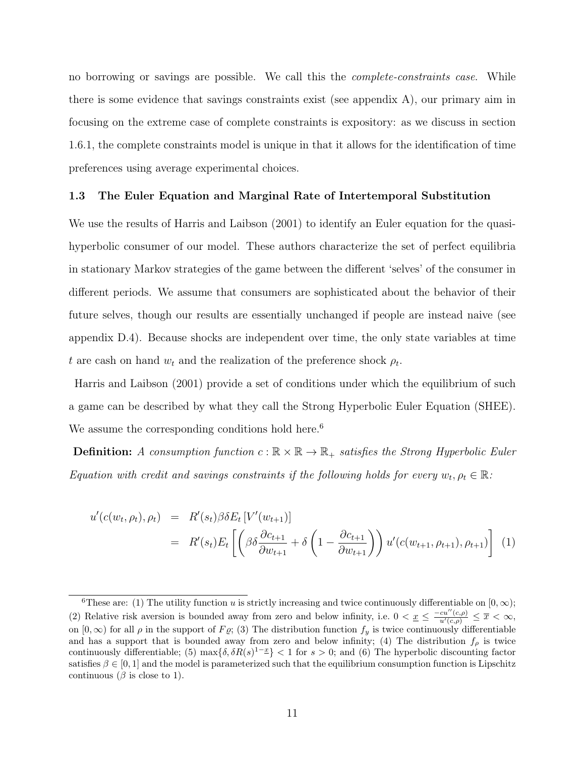no borrowing or savings are possible. We call this the *complete-constraints case*. While there is some evidence that savings constraints exist (see appendix A), our primary aim in focusing on the extreme case of complete constraints is expository: as we discuss in section 1.6.1, the complete constraints model is unique in that it allows for the identification of time preferences using average experimental choices.

#### 1.3 The Euler Equation and Marginal Rate of Intertemporal Substitution

We use the results of Harris and Laibson (2001) to identify an Euler equation for the quasihyperbolic consumer of our model. These authors characterize the set of perfect equilibria in stationary Markov strategies of the game between the different 'selves' of the consumer in different periods. We assume that consumers are sophisticated about the behavior of their future selves, though our results are essentially unchanged if people are instead naive (see appendix D.4). Because shocks are independent over time, the only state variables at time t are cash on hand  $w_t$  and the realization of the preference shock  $\rho_t$ .

Harris and Laibson (2001) provide a set of conditions under which the equilibrium of such a game can be described by what they call the Strong Hyperbolic Euler Equation (SHEE). We assume the corresponding conditions hold here.<sup>6</sup>

**Definition:** A consumption function  $c : \mathbb{R} \times \mathbb{R} \to \mathbb{R}_+$  satisfies the Strong Hyperbolic Euler Equation with credit and savings constraints if the following holds for every  $w_t, \rho_t \in \mathbb{R}$ :

$$
u'(c(w_t, \rho_t), \rho_t) = R'(s_t) \beta \delta E_t [V'(w_{t+1})]
$$
  
=  $R'(s_t) E_t \left[ \left( \beta \delta \frac{\partial c_{t+1}}{\partial w_{t+1}} + \delta \left( 1 - \frac{\partial c_{t+1}}{\partial w_{t+1}} \right) \right) u'(c(w_{t+1}, \rho_{t+1}), \rho_{t+1}) \right]$  (1)

<sup>&</sup>lt;sup>6</sup>These are: (1) The utility function u is strictly increasing and twice continuously differentiable on [0,  $\infty$ ); (2) Relative risk aversion is bounded away from zero and below infinity, i.e.  $0 < \underline{x} \leq \frac{-cu''(c,\rho)}{u'(c,\rho)} \leq \overline{x} < \infty$ , on  $[0, \infty)$  for all  $\rho$  in the support of  $F\varrho$ ; (3) The distribution function  $f_y$  is twice continuously differentiable and has a support that is bounded away from zero and below infinity; (4) The distribution  $f_{\rho}$  is twice continuously differentiable; (5)  $\max{\{\delta, \delta R(s)^{1-\underline{x}}\}} < 1$  for  $s > 0$ ; and (6) The hyperbolic discounting factor satisfies  $\beta \in [0, 1]$  and the model is parameterized such that the equilibrium consumption function is Lipschitz continuous ( $\beta$  is close to 1).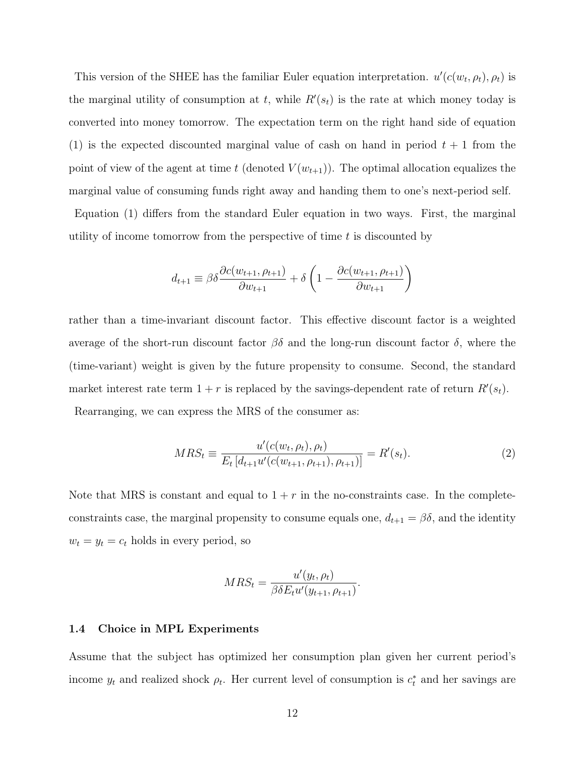This version of the SHEE has the familiar Euler equation interpretation.  $u'(c(w_t, \rho_t), \rho_t)$  is the marginal utility of consumption at t, while  $R'(s_t)$  is the rate at which money today is converted into money tomorrow. The expectation term on the right hand side of equation (1) is the expected discounted marginal value of cash on hand in period  $t + 1$  from the point of view of the agent at time t (denoted  $V(w_{t+1})$ ). The optimal allocation equalizes the marginal value of consuming funds right away and handing them to one's next-period self.

Equation (1) differs from the standard Euler equation in two ways. First, the marginal utility of income tomorrow from the perspective of time  $t$  is discounted by

$$
d_{t+1} \equiv \beta \delta \frac{\partial c(w_{t+1}, \rho_{t+1})}{\partial w_{t+1}} + \delta \left( 1 - \frac{\partial c(w_{t+1}, \rho_{t+1})}{\partial w_{t+1}} \right)
$$

rather than a time-invariant discount factor. This effective discount factor is a weighted average of the short-run discount factor  $\beta\delta$  and the long-run discount factor δ, where the (time-variant) weight is given by the future propensity to consume. Second, the standard market interest rate term  $1 + r$  is replaced by the savings-dependent rate of return  $R'(s_t)$ . Rearranging, we can express the MRS of the consumer as:

$$
MRS_t \equiv \frac{u'(c(w_t, \rho_t), \rho_t)}{E_t \left[d_{t+1} u'(c(w_{t+1}, \rho_{t+1}), \rho_{t+1})\right]} = R'(s_t). \tag{2}
$$

Note that MRS is constant and equal to  $1 + r$  in the no-constraints case. In the completeconstraints case, the marginal propensity to consume equals one,  $d_{t+1} = \beta \delta$ , and the identity  $w_t = y_t = c_t$  holds in every period, so

$$
MRS_t = \frac{u'(y_t, \rho_t)}{\beta \delta E_t u'(y_{t+1}, \rho_{t+1})}.
$$

#### 1.4 Choice in MPL Experiments

Assume that the subject has optimized her consumption plan given her current period's income  $y_t$  and realized shock  $\rho_t$ . Her current level of consumption is  $c_t^*$  and her savings are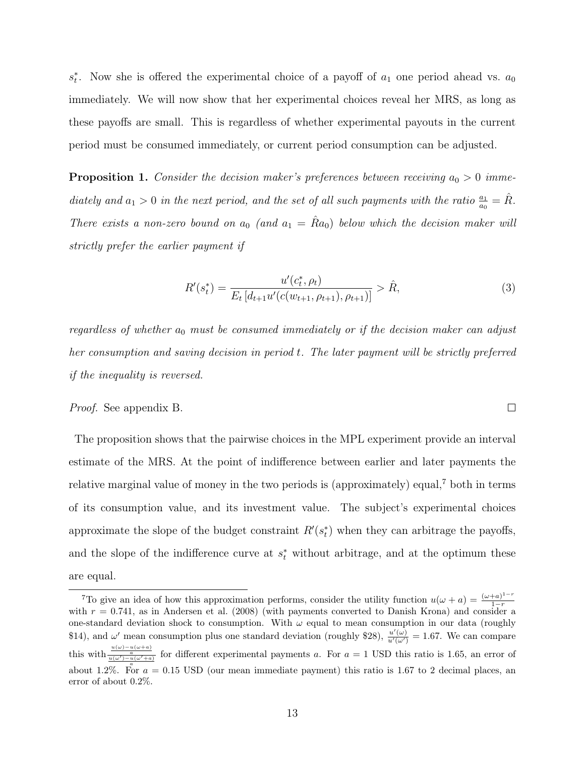$s_t^*$ . Now she is offered the experimental choice of a payoff of  $a_1$  one period ahead vs.  $a_0$ immediately. We will now show that her experimental choices reveal her MRS, as long as these payoffs are small. This is regardless of whether experimental payouts in the current period must be consumed immediately, or current period consumption can be adjusted.

**Proposition 1.** Consider the decision maker's preferences between receiving  $a_0 > 0$  immediately and  $a_1 > 0$  in the next period, and the set of all such payments with the ratio  $\frac{a_1}{a_0} = \hat{R}$ . There exists a non-zero bound on  $a_0$  (and  $a_1 = \hat{R}a_0$ ) below which the decision maker will strictly prefer the earlier payment if

$$
R'(s_t^*) = \frac{u'(c_t^*, \rho_t)}{E_t \left[d_{t+1}u'(c(w_{t+1}, \rho_{t+1}), \rho_{t+1})\right]} > \hat{R},\tag{3}
$$

 $\Box$ 

regardless of whether  $a_0$  must be consumed immediately or if the decision maker can adjust her consumption and saving decision in period t. The later payment will be strictly preferred if the inequality is reversed.

### Proof. See appendix B.

The proposition shows that the pairwise choices in the MPL experiment provide an interval estimate of the MRS. At the point of indifference between earlier and later payments the relative marginal value of money in the two periods is (approximately) equal,<sup>7</sup> both in terms of its consumption value, and its investment value. The subject's experimental choices approximate the slope of the budget constraint  $R'(s_t^*)$  when they can arbitrage the payoffs, and the slope of the indifference curve at  $s_t^*$  without arbitrage, and at the optimum these are equal.

<sup>&</sup>lt;sup>7</sup>To give an idea of how this approximation performs, consider the utility function  $u(\omega + a) = \frac{(\omega + a)^{1-r}}{1-r}$  $1-r$ with  $r = 0.741$ , as in Andersen et al. (2008) (with payments converted to Danish Krona) and consider a one-standard deviation shock to consumption. With  $\omega$  equal to mean consumption in our data (roughly \$14), and  $\omega'$  mean consumption plus one standard deviation (roughly \$28),  $\frac{u'(\omega)}{u'(\omega')} = 1.67$ . We can compare this with  $\frac{u(\omega)-u(\omega+a)}{u(\omega')-u(\omega'+a)}$  for different experimental payments a. For  $a=1$  USD this ratio is 1.65, an error of about 1.2%. For  $a = 0.15$  USD (our mean immediate payment) this ratio is 1.67 to 2 decimal places, an error of about 0.2%.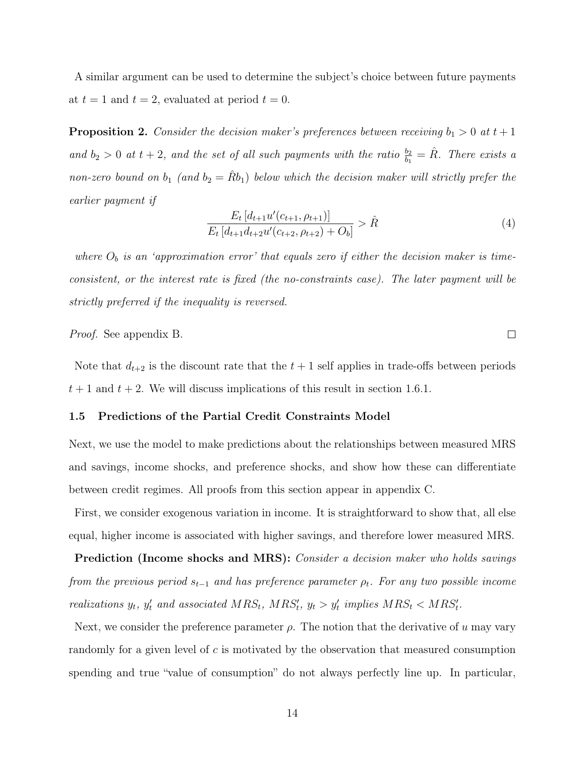A similar argument can be used to determine the subject's choice between future payments at  $t = 1$  and  $t = 2$ , evaluated at period  $t = 0$ .

**Proposition 2.** Consider the decision maker's preferences between receiving  $b_1 > 0$  at  $t + 1$ and  $b_2 > 0$  at  $t + 2$ , and the set of all such payments with the ratio  $\frac{b_2}{b_1} = \hat{R}$ . There exists a non-zero bound on  $b_1$  (and  $b_2 = \hat{R}b_1$ ) below which the decision maker will strictly prefer the earlier payment if

$$
\frac{E_t \left[d_{t+1} u'(c_{t+1}, \rho_{t+1})\right]}{E_t \left[d_{t+1} d_{t+2} u'(c_{t+2}, \rho_{t+2}) + O_b\right]} > \hat{R}
$$
\n<sup>(4)</sup>

 $\Box$ 

where  $O_b$  is an 'approximation error' that equals zero if either the decision maker is timeconsistent, or the interest rate is fixed (the no-constraints case). The later payment will be strictly preferred if the inequality is reversed.

Proof. See appendix B.

Note that  $d_{t+2}$  is the discount rate that the  $t + 1$  self applies in trade-offs between periods  $t + 1$  and  $t + 2$ . We will discuss implications of this result in section 1.6.1.

#### 1.5 Predictions of the Partial Credit Constraints Model

Next, we use the model to make predictions about the relationships between measured MRS and savings, income shocks, and preference shocks, and show how these can differentiate between credit regimes. All proofs from this section appear in appendix C.

First, we consider exogenous variation in income. It is straightforward to show that, all else equal, higher income is associated with higher savings, and therefore lower measured MRS.

Prediction (Income shocks and MRS): Consider a decision maker who holds savings from the previous period  $s_{t-1}$  and has preference parameter  $\rho_t$ . For any two possible income realizations  $y_t$ ,  $y'_t$  and associated  $MRS_t$ ,  $MRS'_t$ ,  $y_t > y'_t$  implies  $MRS_t < MRS'_t$ .

Next, we consider the preference parameter  $\rho$ . The notion that the derivative of u may vary randomly for a given level of c is motivated by the observation that measured consumption spending and true "value of consumption" do not always perfectly line up. In particular,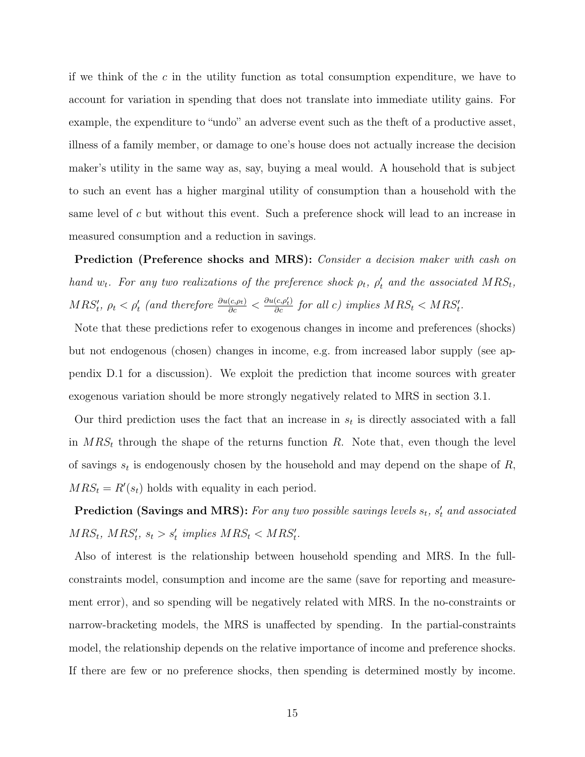if we think of the c in the utility function as total consumption expenditure, we have to account for variation in spending that does not translate into immediate utility gains. For example, the expenditure to "undo" an adverse event such as the theft of a productive asset, illness of a family member, or damage to one's house does not actually increase the decision maker's utility in the same way as, say, buying a meal would. A household that is subject to such an event has a higher marginal utility of consumption than a household with the same level of c but without this event. Such a preference shock will lead to an increase in measured consumption and a reduction in savings.

Prediction (Preference shocks and MRS): Consider a decision maker with cash on hand  $w_t$ . For any two realizations of the preference shock  $\rho_t$ ,  $\rho'_t$  and the associated  $MRS_t$ ,  $MRS'_{t}$ ,  $\rho_{t} < \rho'_{t}$  (and therefore  $\frac{\partial u(c,\rho_{t})}{\partial c} < \frac{\partial u(c,\rho'_{t})}{\partial c}$  for all c) implies  $MRS_{t} < MRS'_{t}$ .

Note that these predictions refer to exogenous changes in income and preferences (shocks) but not endogenous (chosen) changes in income, e.g. from increased labor supply (see appendix D.1 for a discussion). We exploit the prediction that income sources with greater exogenous variation should be more strongly negatively related to MRS in section 3.1.

Our third prediction uses the fact that an increase in  $s_t$  is directly associated with a fall in  $MRS_t$  through the shape of the returns function R. Note that, even though the level of savings  $s_t$  is endogenously chosen by the household and may depend on the shape of  $R$ ,  $MRS_t = R'(s_t)$  holds with equality in each period.

**Prediction (Savings and MRS):** For any two possible savings levels  $s_t$ ,  $s'_t$  and associated  $MRS_t, MRS'_t, s_t > s'_t \implies MRS_t < MRS'_t.$ 

Also of interest is the relationship between household spending and MRS. In the fullconstraints model, consumption and income are the same (save for reporting and measurement error), and so spending will be negatively related with MRS. In the no-constraints or narrow-bracketing models, the MRS is unaffected by spending. In the partial-constraints model, the relationship depends on the relative importance of income and preference shocks. If there are few or no preference shocks, then spending is determined mostly by income.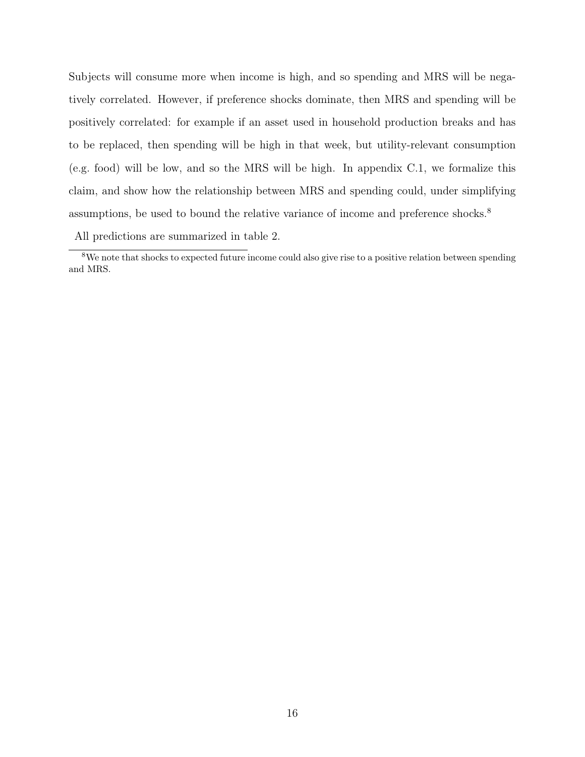Subjects will consume more when income is high, and so spending and MRS will be negatively correlated. However, if preference shocks dominate, then MRS and spending will be positively correlated: for example if an asset used in household production breaks and has to be replaced, then spending will be high in that week, but utility-relevant consumption (e.g. food) will be low, and so the MRS will be high. In appendix C.1, we formalize this claim, and show how the relationship between MRS and spending could, under simplifying assumptions, be used to bound the relative variance of income and preference shocks.<sup>8</sup>

All predictions are summarized in table 2.

<sup>&</sup>lt;sup>8</sup>We note that shocks to expected future income could also give rise to a positive relation between spending and MRS.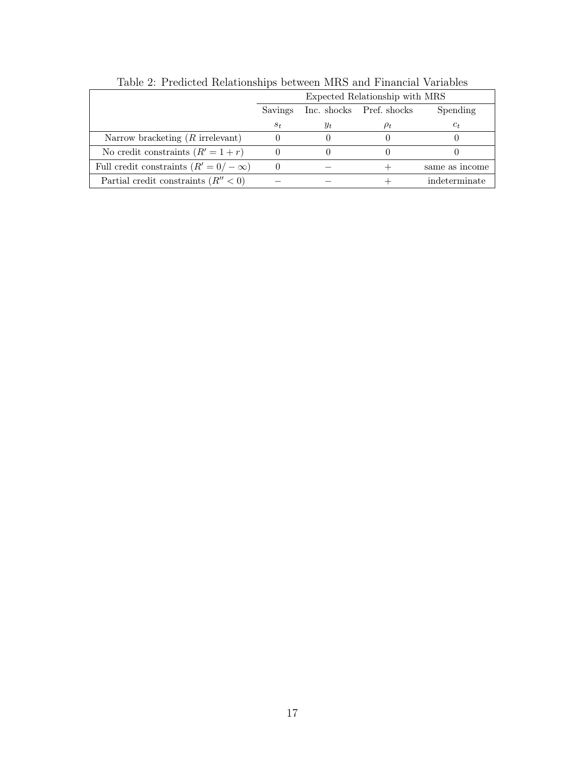|                                              | Expected Relationship with MRS                  |       |  |                |  |  |  |
|----------------------------------------------|-------------------------------------------------|-------|--|----------------|--|--|--|
|                                              | Inc. shocks Pref. shocks<br>Spending<br>Savings |       |  |                |  |  |  |
|                                              | $s_t$                                           | $y_t$ |  | $c_t$          |  |  |  |
| Narrow bracketing $(R$ irrelevant)           |                                                 |       |  |                |  |  |  |
| No credit constraints $(R' = 1 + r)$         |                                                 |       |  |                |  |  |  |
| Full credit constraints $(R' = 0 / -\infty)$ | $\theta$                                        |       |  | same as income |  |  |  |
| Partial credit constraints $(R'' < 0)$       |                                                 |       |  | indeterminate  |  |  |  |

Table 2: Predicted Relationships between MRS and Financial Variables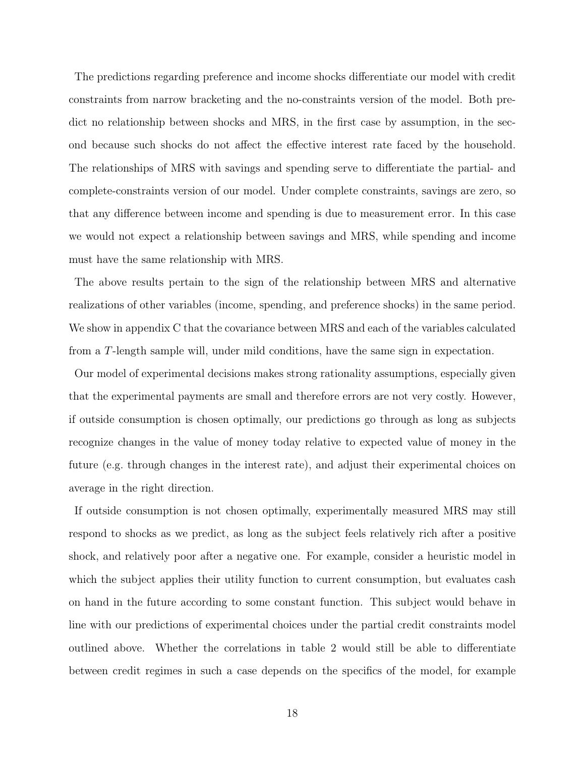The predictions regarding preference and income shocks differentiate our model with credit constraints from narrow bracketing and the no-constraints version of the model. Both predict no relationship between shocks and MRS, in the first case by assumption, in the second because such shocks do not affect the effective interest rate faced by the household. The relationships of MRS with savings and spending serve to differentiate the partial- and complete-constraints version of our model. Under complete constraints, savings are zero, so that any difference between income and spending is due to measurement error. In this case we would not expect a relationship between savings and MRS, while spending and income must have the same relationship with MRS.

The above results pertain to the sign of the relationship between MRS and alternative realizations of other variables (income, spending, and preference shocks) in the same period. We show in appendix C that the covariance between MRS and each of the variables calculated from a T-length sample will, under mild conditions, have the same sign in expectation.

Our model of experimental decisions makes strong rationality assumptions, especially given that the experimental payments are small and therefore errors are not very costly. However, if outside consumption is chosen optimally, our predictions go through as long as subjects recognize changes in the value of money today relative to expected value of money in the future (e.g. through changes in the interest rate), and adjust their experimental choices on average in the right direction.

If outside consumption is not chosen optimally, experimentally measured MRS may still respond to shocks as we predict, as long as the subject feels relatively rich after a positive shock, and relatively poor after a negative one. For example, consider a heuristic model in which the subject applies their utility function to current consumption, but evaluates cash on hand in the future according to some constant function. This subject would behave in line with our predictions of experimental choices under the partial credit constraints model outlined above. Whether the correlations in table 2 would still be able to differentiate between credit regimes in such a case depends on the specifics of the model, for example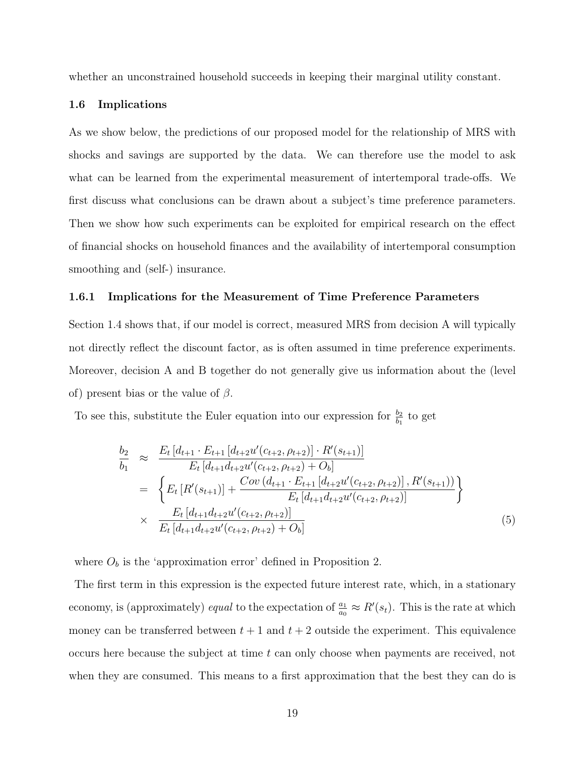whether an unconstrained household succeeds in keeping their marginal utility constant.

#### 1.6 Implications

As we show below, the predictions of our proposed model for the relationship of MRS with shocks and savings are supported by the data. We can therefore use the model to ask what can be learned from the experimental measurement of intertemporal trade-offs. We first discuss what conclusions can be drawn about a subject's time preference parameters. Then we show how such experiments can be exploited for empirical research on the effect of financial shocks on household finances and the availability of intertemporal consumption smoothing and (self-) insurance.

#### 1.6.1 Implications for the Measurement of Time Preference Parameters

Section 1.4 shows that, if our model is correct, measured MRS from decision A will typically not directly reflect the discount factor, as is often assumed in time preference experiments. Moreover, decision A and B together do not generally give us information about the (level of) present bias or the value of  $\beta$ .

To see this, substitute the Euler equation into our expression for  $\frac{b_2}{b_1}$  to get

$$
\frac{b_2}{b_1} \approx \frac{E_t \left[d_{t+1} \cdot E_{t+1} \left[d_{t+2} u'(c_{t+2}, \rho_{t+2})\right] \cdot R'(s_{t+1})\right]}{E_t \left[d_{t+1} d_{t+2} u'(c_{t+2}, \rho_{t+2}) + O_b\right]}
$$
\n
$$
= \left\{ E_t \left[R'(s_{t+1})\right] + \frac{Cov \left(d_{t+1} \cdot E_{t+1} \left[d_{t+2} u'(c_{t+2}, \rho_{t+2})\right], R'(s_{t+1})\right)}{E_t \left[d_{t+1} d_{t+2} u'(c_{t+2}, \rho_{t+2})\right]} \right\}
$$
\n
$$
\times \frac{E_t \left[d_{t+1} d_{t+2} u'(c_{t+2}, \rho_{t+2})\right]}{E_t \left[d_{t+1} d_{t+2} u'(c_{t+2}, \rho_{t+2}) + O_b\right]} \tag{5}
$$

where  $O_b$  is the 'approximation error' defined in Proposition 2.

The first term in this expression is the expected future interest rate, which, in a stationary economy, is (approximately) *equal* to the expectation of  $\frac{a_1}{a_0} \approx R'(s_t)$ . This is the rate at which money can be transferred between  $t + 1$  and  $t + 2$  outside the experiment. This equivalence occurs here because the subject at time t can only choose when payments are received, not when they are consumed. This means to a first approximation that the best they can do is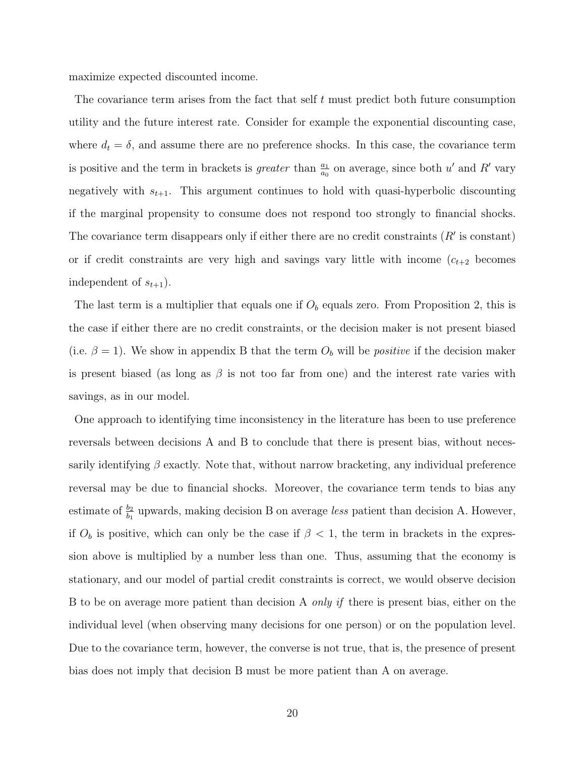maximize expected discounted income.

The covariance term arises from the fact that self  $t$  must predict both future consumption utility and the future interest rate. Consider for example the exponential discounting case, where  $d_t = \delta$ , and assume there are no preference shocks. In this case, the covariance term is positive and the term in brackets is *greater* than  $\frac{a_1}{a_0}$  on average, since both u' and R' vary negatively with  $s_{t+1}$ . This argument continues to hold with quasi-hyperbolic discounting if the marginal propensity to consume does not respond too strongly to financial shocks. The covariance term disappears only if either there are no credit constraints  $(R'$  is constant) or if credit constraints are very high and savings vary little with income  $(c_{t+2}$  becomes independent of  $s_{t+1}$ ).

The last term is a multiplier that equals one if  $O<sub>b</sub>$  equals zero. From Proposition 2, this is the case if either there are no credit constraints, or the decision maker is not present biased (i.e.  $\beta = 1$ ). We show in appendix B that the term  $O_b$  will be *positive* if the decision maker is present biased (as long as  $\beta$  is not too far from one) and the interest rate varies with savings, as in our model.

One approach to identifying time inconsistency in the literature has been to use preference reversals between decisions A and B to conclude that there is present bias, without necessarily identifying  $\beta$  exactly. Note that, without narrow bracketing, any individual preference reversal may be due to financial shocks. Moreover, the covariance term tends to bias any estimate of  $\frac{b_2}{b_1}$  upwards, making decision B on average less patient than decision A. However, if  $O_b$  is positive, which can only be the case if  $\beta < 1$ , the term in brackets in the expression above is multiplied by a number less than one. Thus, assuming that the economy is stationary, and our model of partial credit constraints is correct, we would observe decision B to be on average more patient than decision A *only if* there is present bias, either on the individual level (when observing many decisions for one person) or on the population level. Due to the covariance term, however, the converse is not true, that is, the presence of present bias does not imply that decision B must be more patient than A on average.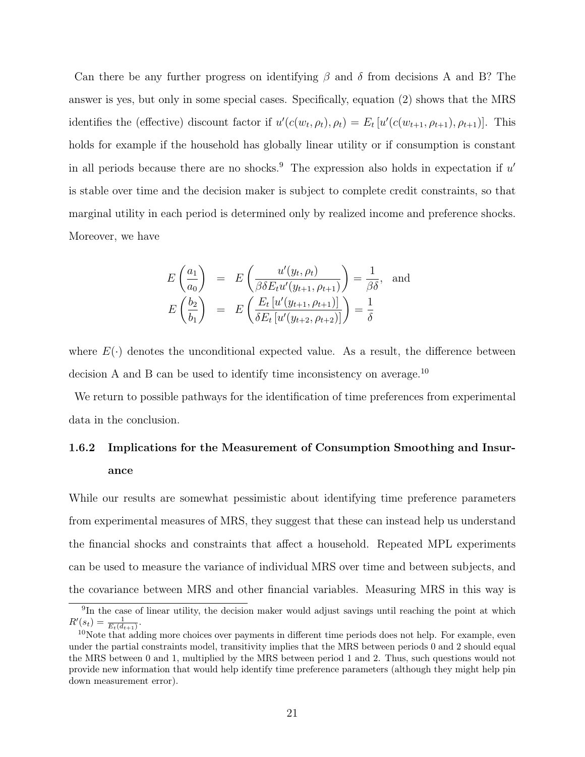Can there be any further progress on identifying  $\beta$  and  $\delta$  from decisions A and B? The answer is yes, but only in some special cases. Specifically, equation (2) shows that the MRS identifies the (effective) discount factor if  $u'(c(w_t, \rho_t), \rho_t) = E_t [u'(c(w_{t+1}, \rho_{t+1}), \rho_{t+1})]$ . This holds for example if the household has globally linear utility or if consumption is constant in all periods because there are no shocks.<sup>9</sup> The expression also holds in expectation if  $u'$ is stable over time and the decision maker is subject to complete credit constraints, so that marginal utility in each period is determined only by realized income and preference shocks. Moreover, we have

$$
E\left(\frac{a_1}{a_0}\right) = E\left(\frac{u'(y_t, \rho_t)}{\beta \delta E_t u'(y_{t+1}, \rho_{t+1})}\right) = \frac{1}{\beta \delta}, \text{ and}
$$

$$
E\left(\frac{b_2}{b_1}\right) = E\left(\frac{E_t \left[u'(y_{t+1}, \rho_{t+1})\right]}{\delta E_t \left[u'(y_{t+2}, \rho_{t+2})\right]}\right) = \frac{1}{\delta}
$$

where  $E(\cdot)$  denotes the unconditional expected value. As a result, the difference between decision A and B can be used to identify time inconsistency on average.<sup>10</sup>

We return to possible pathways for the identification of time preferences from experimental data in the conclusion.

# 1.6.2 Implications for the Measurement of Consumption Smoothing and Insurance

While our results are somewhat pessimistic about identifying time preference parameters from experimental measures of MRS, they suggest that these can instead help us understand the financial shocks and constraints that affect a household. Repeated MPL experiments can be used to measure the variance of individual MRS over time and between subjects, and the covariance between MRS and other financial variables. Measuring MRS in this way is

<sup>&</sup>lt;sup>9</sup>In the case of linear utility, the decision maker would adjust savings until reaching the point at which  $R'(s_t) = \frac{1}{E_t(d_{t+1})}.$ 

 $10$ Note that adding more choices over payments in different time periods does not help. For example, even under the partial constraints model, transitivity implies that the MRS between periods 0 and 2 should equal the MRS between 0 and 1, multiplied by the MRS between period 1 and 2. Thus, such questions would not provide new information that would help identify time preference parameters (although they might help pin down measurement error).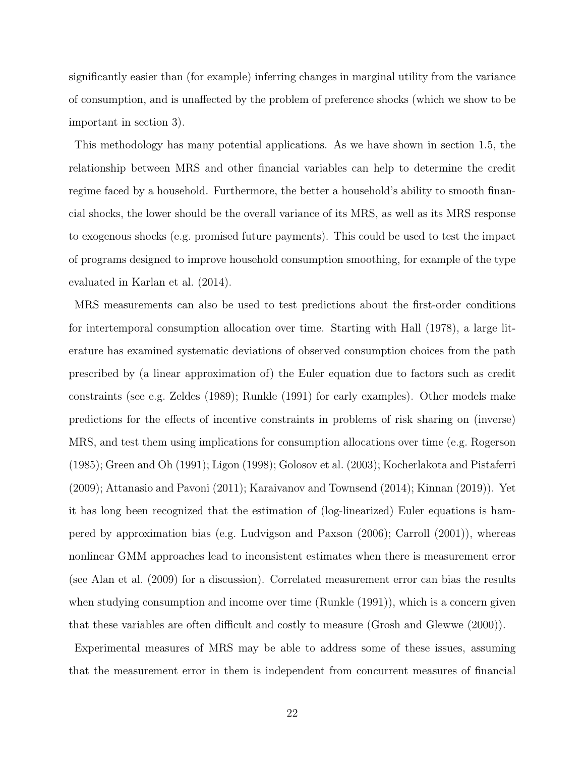significantly easier than (for example) inferring changes in marginal utility from the variance of consumption, and is unaffected by the problem of preference shocks (which we show to be important in section 3).

This methodology has many potential applications. As we have shown in section 1.5, the relationship between MRS and other financial variables can help to determine the credit regime faced by a household. Furthermore, the better a household's ability to smooth financial shocks, the lower should be the overall variance of its MRS, as well as its MRS response to exogenous shocks (e.g. promised future payments). This could be used to test the impact of programs designed to improve household consumption smoothing, for example of the type evaluated in Karlan et al. (2014).

MRS measurements can also be used to test predictions about the first-order conditions for intertemporal consumption allocation over time. Starting with Hall (1978), a large literature has examined systematic deviations of observed consumption choices from the path prescribed by (a linear approximation of) the Euler equation due to factors such as credit constraints (see e.g. Zeldes (1989); Runkle (1991) for early examples). Other models make predictions for the effects of incentive constraints in problems of risk sharing on (inverse) MRS, and test them using implications for consumption allocations over time (e.g. Rogerson (1985); Green and Oh (1991); Ligon (1998); Golosov et al. (2003); Kocherlakota and Pistaferri (2009); Attanasio and Pavoni (2011); Karaivanov and Townsend (2014); Kinnan (2019)). Yet it has long been recognized that the estimation of (log-linearized) Euler equations is hampered by approximation bias (e.g. Ludvigson and Paxson (2006); Carroll (2001)), whereas nonlinear GMM approaches lead to inconsistent estimates when there is measurement error (see Alan et al. (2009) for a discussion). Correlated measurement error can bias the results when studying consumption and income over time (Runkle (1991)), which is a concern given that these variables are often difficult and costly to measure (Grosh and Glewwe (2000)).

Experimental measures of MRS may be able to address some of these issues, assuming that the measurement error in them is independent from concurrent measures of financial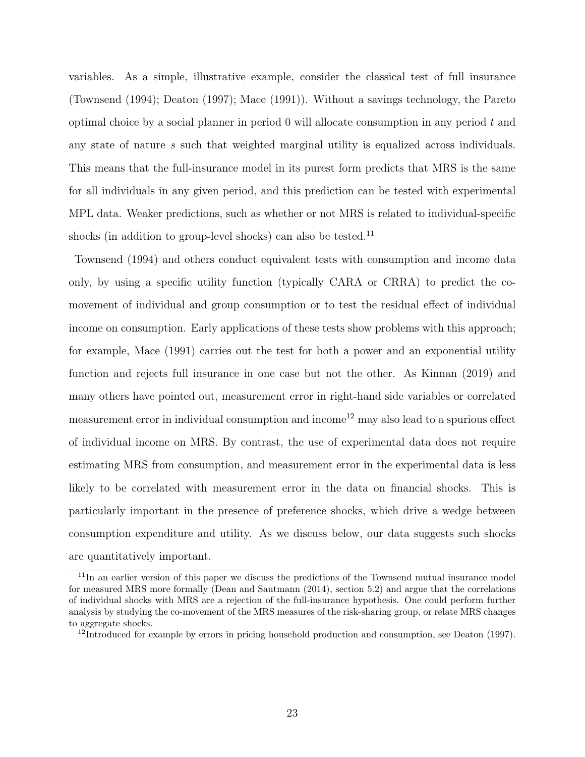variables. As a simple, illustrative example, consider the classical test of full insurance (Townsend (1994); Deaton (1997); Mace (1991)). Without a savings technology, the Pareto optimal choice by a social planner in period  $\theta$  will allocate consumption in any period  $t$  and any state of nature s such that weighted marginal utility is equalized across individuals. This means that the full-insurance model in its purest form predicts that MRS is the same for all individuals in any given period, and this prediction can be tested with experimental MPL data. Weaker predictions, such as whether or not MRS is related to individual-specific shocks (in addition to group-level shocks) can also be tested.<sup>11</sup>

Townsend (1994) and others conduct equivalent tests with consumption and income data only, by using a specific utility function (typically CARA or CRRA) to predict the comovement of individual and group consumption or to test the residual effect of individual income on consumption. Early applications of these tests show problems with this approach; for example, Mace (1991) carries out the test for both a power and an exponential utility function and rejects full insurance in one case but not the other. As Kinnan (2019) and many others have pointed out, measurement error in right-hand side variables or correlated measurement error in individual consumption and income<sup>12</sup> may also lead to a spurious effect of individual income on MRS. By contrast, the use of experimental data does not require estimating MRS from consumption, and measurement error in the experimental data is less likely to be correlated with measurement error in the data on financial shocks. This is particularly important in the presence of preference shocks, which drive a wedge between consumption expenditure and utility. As we discuss below, our data suggests such shocks are quantitatively important.

<sup>&</sup>lt;sup>11</sup>In an earlier version of this paper we discuss the predictions of the Townsend mutual insurance model for measured MRS more formally (Dean and Sautmann (2014), section 5.2) and argue that the correlations of individual shocks with MRS are a rejection of the full-insurance hypothesis. One could perform further analysis by studying the co-movement of the MRS measures of the risk-sharing group, or relate MRS changes to aggregate shocks.

<sup>&</sup>lt;sup>12</sup>Introduced for example by errors in pricing household production and consumption, see Deaton (1997).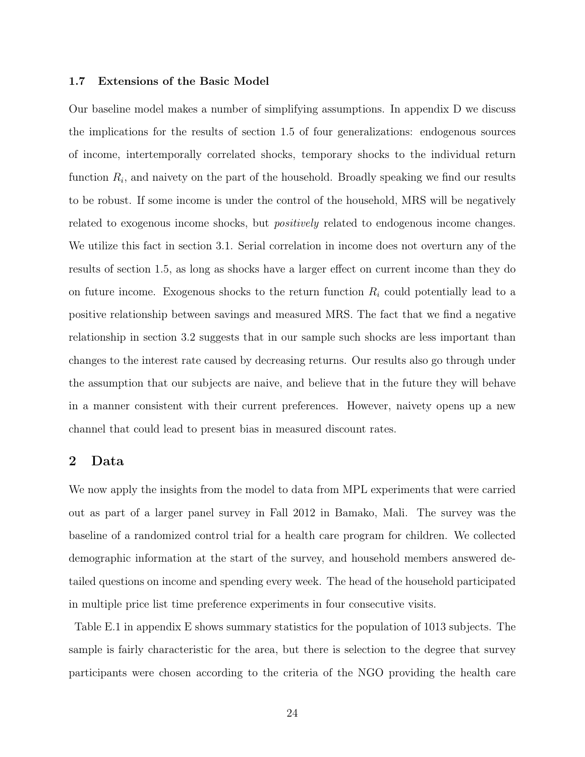#### 1.7 Extensions of the Basic Model

Our baseline model makes a number of simplifying assumptions. In appendix D we discuss the implications for the results of section 1.5 of four generalizations: endogenous sources of income, intertemporally correlated shocks, temporary shocks to the individual return function  $R_i$ , and naivety on the part of the household. Broadly speaking we find our results to be robust. If some income is under the control of the household, MRS will be negatively related to exogenous income shocks, but *positively* related to endogenous income changes. We utilize this fact in section 3.1. Serial correlation in income does not overturn any of the results of section 1.5, as long as shocks have a larger effect on current income than they do on future income. Exogenous shocks to the return function  $R_i$  could potentially lead to a positive relationship between savings and measured MRS. The fact that we find a negative relationship in section 3.2 suggests that in our sample such shocks are less important than changes to the interest rate caused by decreasing returns. Our results also go through under the assumption that our subjects are naive, and believe that in the future they will behave in a manner consistent with their current preferences. However, naivety opens up a new channel that could lead to present bias in measured discount rates.

### 2 Data

We now apply the insights from the model to data from MPL experiments that were carried out as part of a larger panel survey in Fall 2012 in Bamako, Mali. The survey was the baseline of a randomized control trial for a health care program for children. We collected demographic information at the start of the survey, and household members answered detailed questions on income and spending every week. The head of the household participated in multiple price list time preference experiments in four consecutive visits.

Table E.1 in appendix E shows summary statistics for the population of 1013 subjects. The sample is fairly characteristic for the area, but there is selection to the degree that survey participants were chosen according to the criteria of the NGO providing the health care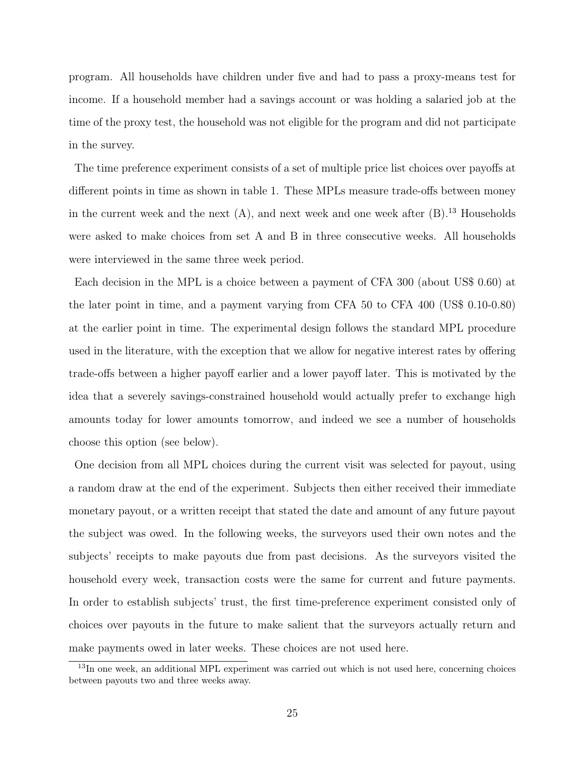program. All households have children under five and had to pass a proxy-means test for income. If a household member had a savings account or was holding a salaried job at the time of the proxy test, the household was not eligible for the program and did not participate in the survey.

The time preference experiment consists of a set of multiple price list choices over payoffs at different points in time as shown in table 1. These MPLs measure trade-offs between money in the current week and the next  $(A)$ , and next week and one week after  $(B)$ .<sup>13</sup> Households were asked to make choices from set A and B in three consecutive weeks. All households were interviewed in the same three week period.

Each decision in the MPL is a choice between a payment of CFA 300 (about US\$ 0.60) at the later point in time, and a payment varying from CFA 50 to CFA 400 (US\$ 0.10-0.80) at the earlier point in time. The experimental design follows the standard MPL procedure used in the literature, with the exception that we allow for negative interest rates by offering trade-offs between a higher payoff earlier and a lower payoff later. This is motivated by the idea that a severely savings-constrained household would actually prefer to exchange high amounts today for lower amounts tomorrow, and indeed we see a number of households choose this option (see below).

One decision from all MPL choices during the current visit was selected for payout, using a random draw at the end of the experiment. Subjects then either received their immediate monetary payout, or a written receipt that stated the date and amount of any future payout the subject was owed. In the following weeks, the surveyors used their own notes and the subjects' receipts to make payouts due from past decisions. As the surveyors visited the household every week, transaction costs were the same for current and future payments. In order to establish subjects' trust, the first time-preference experiment consisted only of choices over payouts in the future to make salient that the surveyors actually return and make payments owed in later weeks. These choices are not used here.

<sup>&</sup>lt;sup>13</sup>In one week, an additional MPL experiment was carried out which is not used here, concerning choices between payouts two and three weeks away.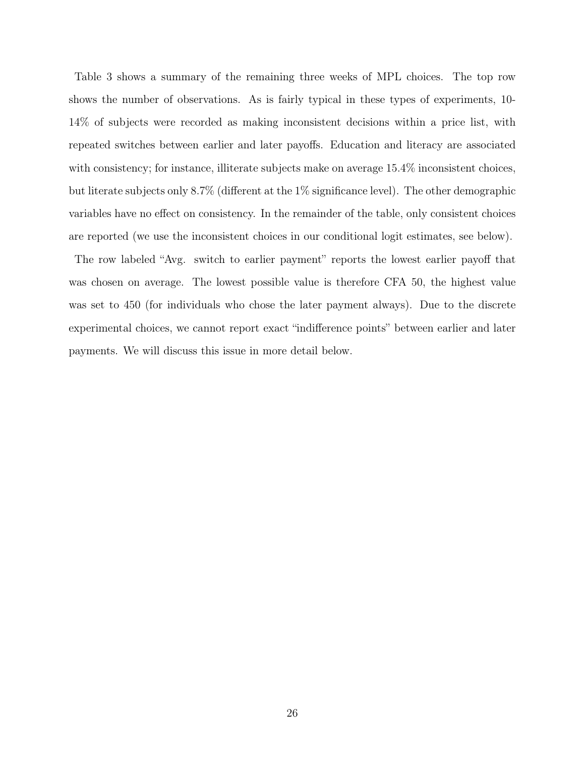Table 3 shows a summary of the remaining three weeks of MPL choices. The top row shows the number of observations. As is fairly typical in these types of experiments, 10- 14% of subjects were recorded as making inconsistent decisions within a price list, with repeated switches between earlier and later payoffs. Education and literacy are associated with consistency; for instance, illiterate subjects make on average  $15.4\%$  inconsistent choices, but literate subjects only 8.7% (different at the 1% significance level). The other demographic variables have no effect on consistency. In the remainder of the table, only consistent choices are reported (we use the inconsistent choices in our conditional logit estimates, see below).

The row labeled "Avg. switch to earlier payment" reports the lowest earlier payoff that was chosen on average. The lowest possible value is therefore CFA 50, the highest value was set to 450 (for individuals who chose the later payment always). Due to the discrete experimental choices, we cannot report exact "indifference points" between earlier and later payments. We will discuss this issue in more detail below.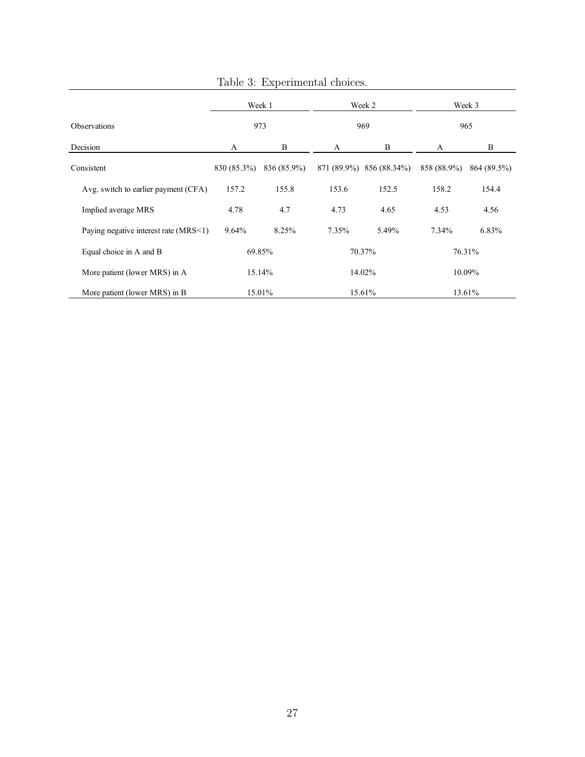|                                       | Week 1      |             | Week 2 |                          | Week 3      |             |
|---------------------------------------|-------------|-------------|--------|--------------------------|-------------|-------------|
| <b>Observations</b>                   | 973         |             | 969    |                          | 965         |             |
| Decision                              | A           | B           | A      | B                        | A           | B           |
| Consistent                            | 830 (85.3%) | 836 (85.9%) |        | 871 (89.9%) 856 (88.34%) | 858 (88.9%) | 864 (89.5%) |
| Avg. switch to earlier payment (CFA)  | 157.2       | 155.8       | 153.6  | 152.5                    | 158.2       | 154.4       |
| Implied average MRS                   | 4.78        | 4.7         | 4.73   | 4.65                     | 4.53        | 4.56        |
| Paying negative interest rate (MRS<1) | 9.64%       | 8.25%       | 7.35%  | 5.49%                    | $7.34\%$    | 6.83%       |
| Equal choice in A and B               | 69.85%      |             | 70.37% |                          | 76.31%      |             |
| More patient (lower MRS) in A         |             | 15.14%      | 14.02% |                          | 10.09%      |             |
| More patient (lower MRS) in B         | 15.01%      |             | 15.61% |                          | 13.61%      |             |

Table 3: Experimental choices.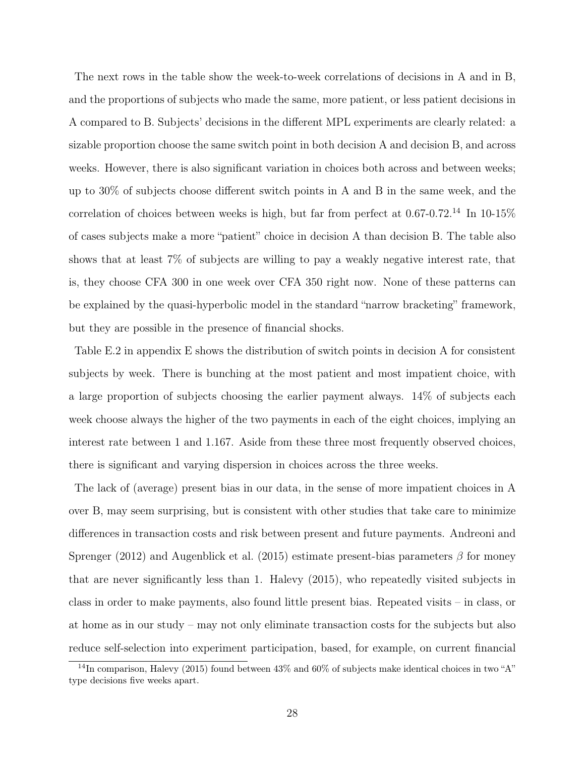The next rows in the table show the week-to-week correlations of decisions in A and in B, and the proportions of subjects who made the same, more patient, or less patient decisions in A compared to B. Subjects' decisions in the different MPL experiments are clearly related: a sizable proportion choose the same switch point in both decision A and decision B, and across weeks. However, there is also significant variation in choices both across and between weeks; up to 30% of subjects choose different switch points in A and B in the same week, and the correlation of choices between weeks is high, but far from perfect at  $0.67$ - $0.72$ <sup>14</sup> In 10-15% of cases subjects make a more "patient" choice in decision A than decision B. The table also shows that at least 7% of subjects are willing to pay a weakly negative interest rate, that is, they choose CFA 300 in one week over CFA 350 right now. None of these patterns can be explained by the quasi-hyperbolic model in the standard "narrow bracketing" framework, but they are possible in the presence of financial shocks.

Table E.2 in appendix E shows the distribution of switch points in decision A for consistent subjects by week. There is bunching at the most patient and most impatient choice, with a large proportion of subjects choosing the earlier payment always. 14% of subjects each week choose always the higher of the two payments in each of the eight choices, implying an interest rate between 1 and 1.167. Aside from these three most frequently observed choices, there is significant and varying dispersion in choices across the three weeks.

The lack of (average) present bias in our data, in the sense of more impatient choices in A over B, may seem surprising, but is consistent with other studies that take care to minimize differences in transaction costs and risk between present and future payments. Andreoni and Sprenger (2012) and Augenblick et al. (2015) estimate present-bias parameters  $\beta$  for money that are never significantly less than 1. Halevy (2015), who repeatedly visited subjects in class in order to make payments, also found little present bias. Repeated visits – in class, or at home as in our study – may not only eliminate transaction costs for the subjects but also reduce self-selection into experiment participation, based, for example, on current financial

<sup>&</sup>lt;sup>14</sup>In comparison, Halevy (2015) found between 43% and 60% of subjects make identical choices in two "A" type decisions five weeks apart.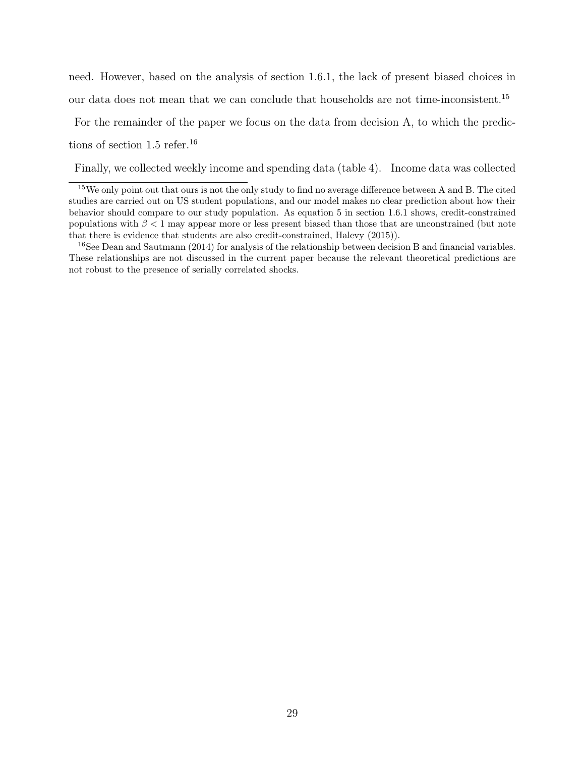need. However, based on the analysis of section 1.6.1, the lack of present biased choices in our data does not mean that we can conclude that households are not time-inconsistent.<sup>15</sup>

For the remainder of the paper we focus on the data from decision A, to which the predictions of section 1.5 refer.<sup>16</sup>

Finally, we collected weekly income and spending data (table 4). Income data was collected

<sup>15</sup>We only point out that ours is not the only study to find no average difference between A and B. The cited studies are carried out on US student populations, and our model makes no clear prediction about how their behavior should compare to our study population. As equation 5 in section 1.6.1 shows, credit-constrained populations with  $\beta < 1$  may appear more or less present biased than those that are unconstrained (but note that there is evidence that students are also credit-constrained, Halevy (2015)).

<sup>&</sup>lt;sup>16</sup>See Dean and Sautmann (2014) for analysis of the relationship between decision B and financial variables. These relationships are not discussed in the current paper because the relevant theoretical predictions are not robust to the presence of serially correlated shocks.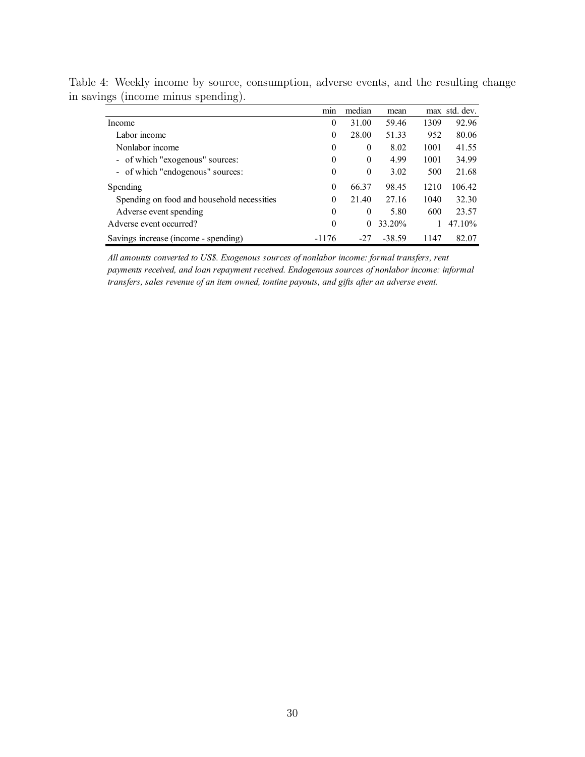|                                            | mın      | median   | mean     |      | max std. dev. |
|--------------------------------------------|----------|----------|----------|------|---------------|
| Income                                     | 0        | 31.00    | 59.46    | 1309 | 92.96         |
| Labor income                               | $\theta$ | 28.00    | 51.33    | 952  | 80.06         |
| Nonlabor income                            | $\theta$ | $\theta$ | 8.02     | 1001 | 41.55         |
| - of which "exogenous" sources:            | $\theta$ | $\theta$ | 4.99     | 1001 | 34.99         |
| - of which "endogenous" sources.           | $\theta$ | $\theta$ | 3.02     | 500  | 21.68         |
| Spending                                   | $\theta$ | 66.37    | 98.45    | 1210 | 106.42        |
| Spending on food and household necessities | $\theta$ | 21.40    | 27.16    | 1040 | 32.30         |
| Adverse event spending                     | $\theta$ | $\theta$ | 5.80     | 600  | 23.57         |
| Adverse event occurred?                    | $\theta$ | $\Omega$ | 33.20%   |      | 47.10%        |
| Savings increase (income - spending)       | -1176    | $-27$    | $-38.59$ | 1147 | 82.07         |

Table 4: Weekly income by source, consumption, adverse events, and the resulting change in savings (income minus spending).

*All amounts converted to US\$. Exogenous sources of nonlabor income: formal transfers, rent payments received, and loan repayment received. Endogenous sources of nonlabor income: informal transfers, sales revenue of an item owned, tontine payouts, and gifts after an adverse event.*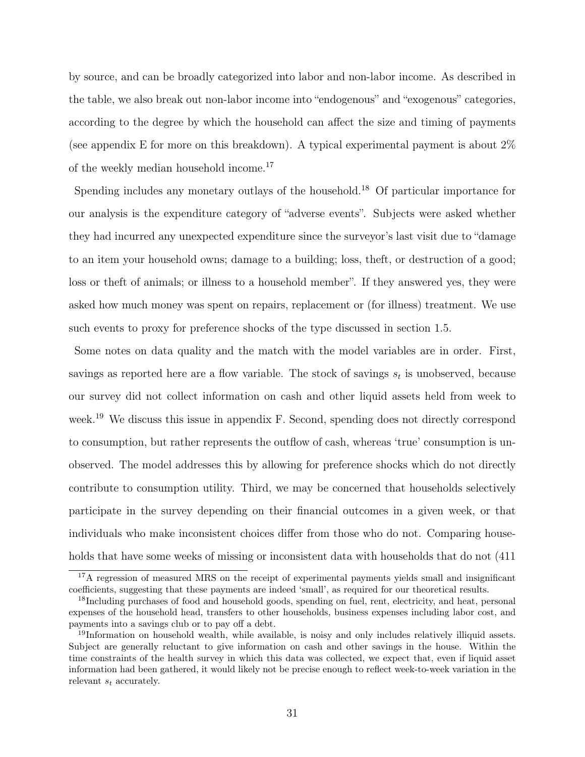by source, and can be broadly categorized into labor and non-labor income. As described in the table, we also break out non-labor income into "endogenous" and "exogenous" categories, according to the degree by which the household can affect the size and timing of payments (see appendix E for more on this breakdown). A typical experimental payment is about 2% of the weekly median household income.<sup>17</sup>

Spending includes any monetary outlays of the household.<sup>18</sup> Of particular importance for our analysis is the expenditure category of "adverse events". Subjects were asked whether they had incurred any unexpected expenditure since the surveyor's last visit due to "damage to an item your household owns; damage to a building; loss, theft, or destruction of a good; loss or theft of animals; or illness to a household member". If they answered yes, they were asked how much money was spent on repairs, replacement or (for illness) treatment. We use such events to proxy for preference shocks of the type discussed in section 1.5.

Some notes on data quality and the match with the model variables are in order. First, savings as reported here are a flow variable. The stock of savings  $s_t$  is unobserved, because our survey did not collect information on cash and other liquid assets held from week to week.<sup>19</sup> We discuss this issue in appendix F. Second, spending does not directly correspond to consumption, but rather represents the outflow of cash, whereas 'true' consumption is unobserved. The model addresses this by allowing for preference shocks which do not directly contribute to consumption utility. Third, we may be concerned that households selectively participate in the survey depending on their financial outcomes in a given week, or that individuals who make inconsistent choices differ from those who do not. Comparing households that have some weeks of missing or inconsistent data with households that do not  $(411)$ 

<sup>&</sup>lt;sup>17</sup>A regression of measured MRS on the receipt of experimental payments yields small and insignificant coefficients, suggesting that these payments are indeed 'small', as required for our theoretical results.

<sup>&</sup>lt;sup>18</sup>Including purchases of food and household goods, spending on fuel, rent, electricity, and heat, personal expenses of the household head, transfers to other households, business expenses including labor cost, and payments into a savings club or to pay off a debt.

<sup>&</sup>lt;sup>19</sup>Information on household wealth, while available, is noisy and only includes relatively illiquid assets. Subject are generally reluctant to give information on cash and other savings in the house. Within the time constraints of the health survey in which this data was collected, we expect that, even if liquid asset information had been gathered, it would likely not be precise enough to reflect week-to-week variation in the relevant  $s_t$  accurately.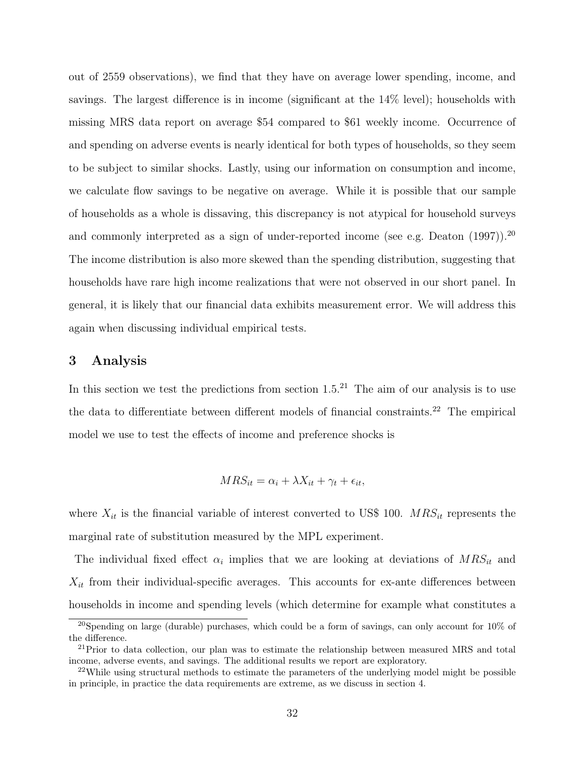out of 2559 observations), we find that they have on average lower spending, income, and savings. The largest difference is in income (significant at the 14% level); households with missing MRS data report on average \$54 compared to \$61 weekly income. Occurrence of and spending on adverse events is nearly identical for both types of households, so they seem to be subject to similar shocks. Lastly, using our information on consumption and income, we calculate flow savings to be negative on average. While it is possible that our sample of households as a whole is dissaving, this discrepancy is not atypical for household surveys and commonly interpreted as a sign of under-reported income (see e.g. Deaton (1997)).<sup>20</sup> The income distribution is also more skewed than the spending distribution, suggesting that households have rare high income realizations that were not observed in our short panel. In general, it is likely that our financial data exhibits measurement error. We will address this again when discussing individual empirical tests.

### 3 Analysis

In this section we test the predictions from section  $1.5^{21}$  The aim of our analysis is to use the data to differentiate between different models of financial constraints.<sup>22</sup> The empirical model we use to test the effects of income and preference shocks is

$$
MRS_{it} = \alpha_i + \lambda X_{it} + \gamma_t + \epsilon_{it},
$$

where  $X_{it}$  is the financial variable of interest converted to US\$ 100.  $MRS_{it}$  represents the marginal rate of substitution measured by the MPL experiment.

The individual fixed effect  $\alpha_i$  implies that we are looking at deviations of  $MRS_{it}$  and  $X_{it}$  from their individual-specific averages. This accounts for ex-ante differences between households in income and spending levels (which determine for example what constitutes a

<sup>&</sup>lt;sup>20</sup>Spending on large (durable) purchases, which could be a form of savings, can only account for  $10\%$  of the difference.

 $^{21}$ Prior to data collection, our plan was to estimate the relationship between measured MRS and total income, adverse events, and savings. The additional results we report are exploratory.

 $22$ While using structural methods to estimate the parameters of the underlying model might be possible in principle, in practice the data requirements are extreme, as we discuss in section 4.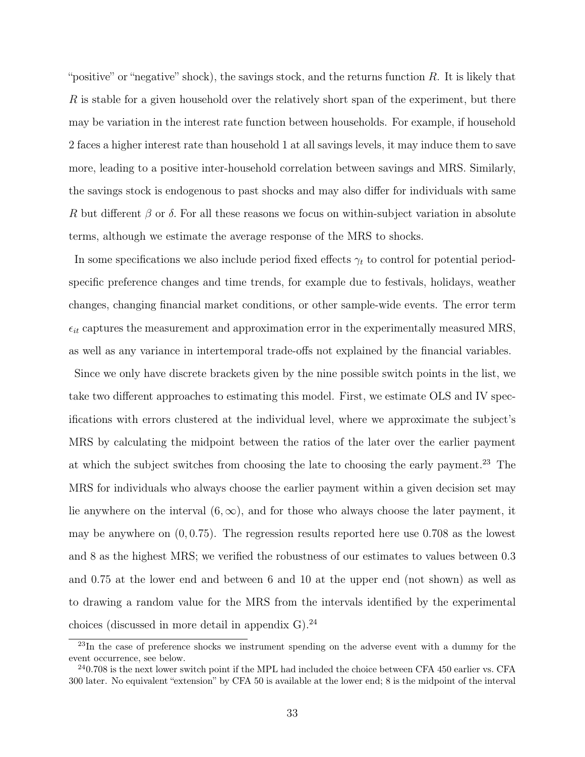"positive" or "negative" shock), the savings stock, and the returns function  $R$ . It is likely that R is stable for a given household over the relatively short span of the experiment, but there may be variation in the interest rate function between households. For example, if household 2 faces a higher interest rate than household 1 at all savings levels, it may induce them to save more, leading to a positive inter-household correlation between savings and MRS. Similarly, the savings stock is endogenous to past shocks and may also differ for individuals with same R but different  $\beta$  or  $\delta$ . For all these reasons we focus on within-subject variation in absolute terms, although we estimate the average response of the MRS to shocks.

In some specifications we also include period fixed effects  $\gamma_t$  to control for potential periodspecific preference changes and time trends, for example due to festivals, holidays, weather changes, changing financial market conditions, or other sample-wide events. The error term  $\epsilon_{it}$  captures the measurement and approximation error in the experimentally measured MRS, as well as any variance in intertemporal trade-offs not explained by the financial variables.

Since we only have discrete brackets given by the nine possible switch points in the list, we take two different approaches to estimating this model. First, we estimate OLS and IV specifications with errors clustered at the individual level, where we approximate the subject's MRS by calculating the midpoint between the ratios of the later over the earlier payment at which the subject switches from choosing the late to choosing the early payment.<sup>23</sup> The MRS for individuals who always choose the earlier payment within a given decision set may lie anywhere on the interval  $(6, \infty)$ , and for those who always choose the later payment, it may be anywhere on  $(0, 0.75)$ . The regression results reported here use 0.708 as the lowest and 8 as the highest MRS; we verified the robustness of our estimates to values between 0.3 and 0.75 at the lower end and between 6 and 10 at the upper end (not shown) as well as to drawing a random value for the MRS from the intervals identified by the experimental choices (discussed in more detail in appendix G). $^{24}$ 

<sup>&</sup>lt;sup>23</sup>In the case of preference shocks we instrument spending on the adverse event with a dummy for the event occurrence, see below.

 $^{24}$ 0.708 is the next lower switch point if the MPL had included the choice between CFA 450 earlier vs. CFA 300 later. No equivalent "extension" by CFA 50 is available at the lower end; 8 is the midpoint of the interval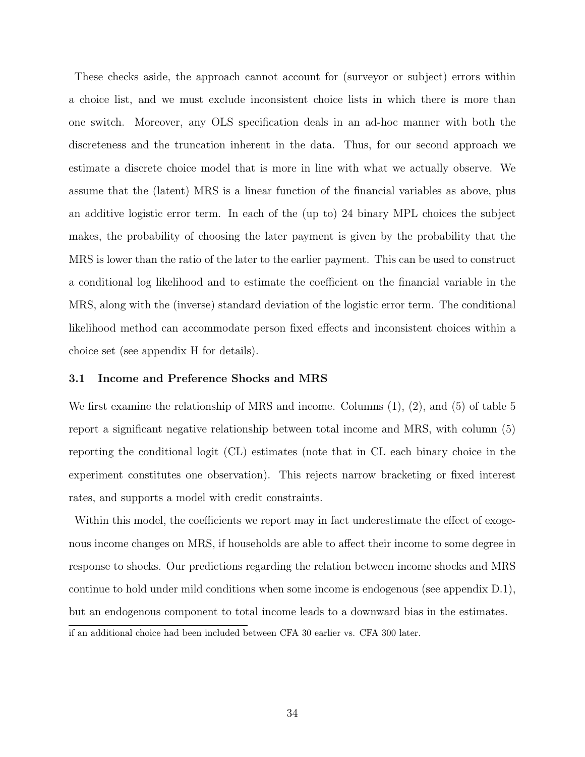These checks aside, the approach cannot account for (surveyor or subject) errors within a choice list, and we must exclude inconsistent choice lists in which there is more than one switch. Moreover, any OLS specification deals in an ad-hoc manner with both the discreteness and the truncation inherent in the data. Thus, for our second approach we estimate a discrete choice model that is more in line with what we actually observe. We assume that the (latent) MRS is a linear function of the financial variables as above, plus an additive logistic error term. In each of the (up to) 24 binary MPL choices the subject makes, the probability of choosing the later payment is given by the probability that the MRS is lower than the ratio of the later to the earlier payment. This can be used to construct a conditional log likelihood and to estimate the coefficient on the financial variable in the MRS, along with the (inverse) standard deviation of the logistic error term. The conditional likelihood method can accommodate person fixed effects and inconsistent choices within a choice set (see appendix H for details).

#### 3.1 Income and Preference Shocks and MRS

We first examine the relationship of MRS and income. Columns  $(1)$ ,  $(2)$ , and  $(5)$  of table 5 report a significant negative relationship between total income and MRS, with column (5) reporting the conditional logit (CL) estimates (note that in CL each binary choice in the experiment constitutes one observation). This rejects narrow bracketing or fixed interest rates, and supports a model with credit constraints.

Within this model, the coefficients we report may in fact underestimate the effect of exogenous income changes on MRS, if households are able to affect their income to some degree in response to shocks. Our predictions regarding the relation between income shocks and MRS continue to hold under mild conditions when some income is endogenous (see appendix D.1), but an endogenous component to total income leads to a downward bias in the estimates. if an additional choice had been included between CFA 30 earlier vs. CFA 300 later.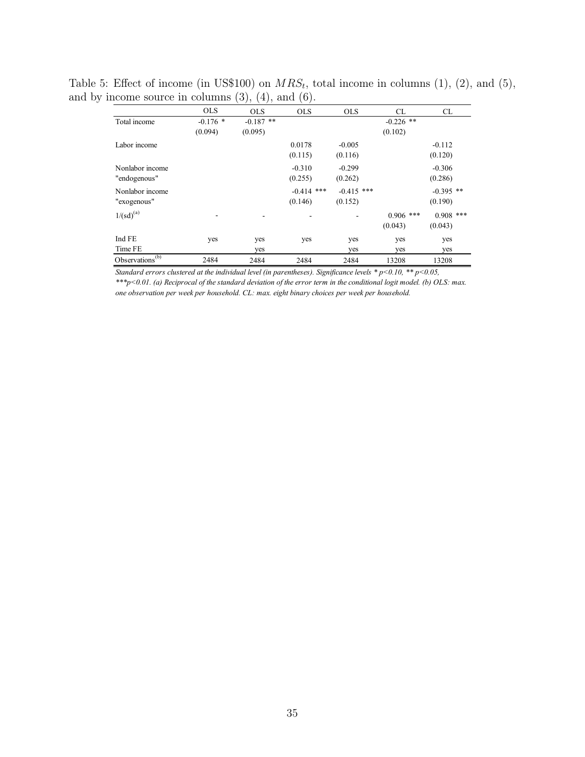|                             | <b>OLS</b> | <b>OLS</b>  | <b>OLS</b>   | <b>OLS</b>   | CL          | CL          |
|-----------------------------|------------|-------------|--------------|--------------|-------------|-------------|
| Total income                | $-0.176$ * | $-0.187$ ** |              |              | $-0.226$ ** |             |
|                             | (0.094)    | (0.095)     |              |              | (0.102)     |             |
| Labor income                |            |             | 0.0178       | $-0.005$     |             | $-0.112$    |
|                             |            |             | (0.115)      | (0.116)      |             | (0.120)     |
| Nonlabor income             |            |             | $-0.310$     | $-0.299$     |             | $-0.306$    |
| "endogenous"                |            |             | (0.255)      | (0.262)      |             | (0.286)     |
| Nonlabor income             |            |             | $-0.414$ *** | $-0.415$ *** |             | $-0.395$ ** |
| "exogenous"                 |            |             | (0.146)      | (0.152)      |             | (0.190)     |
| $1/(sd)^{(a)}$              |            |             |              |              | $0.906$ *** | $0.908$ *** |
|                             |            |             |              |              | (0.043)     | (0.043)     |
| Ind FE                      | yes        | yes         | yes          | yes          | yes         | yes         |
| Time FE                     |            | yes         |              | yes          | yes         | yes         |
| Observations <sup>(b)</sup> | 2484       | 2484        | 2484         | 2484         | 13208       | 13208       |

Table 5: Effect of income (in US\$100) on  $MRS_t$ , total income in columns (1), (2), and (5), and by income source in columns  $(3)$ ,  $(4)$ , and  $(6)$ .

*Standard errors clustered at the individual level (in parentheses). Significance levels \* p<0.10, \*\* p<0.05, \*\*\*p<0.01. (a) Reciprocal of the standard deviation of the error term in the conditional logit model. (b) OLS: max.* 

*one observation per week per household. CL: max. eight binary choices per week per household.*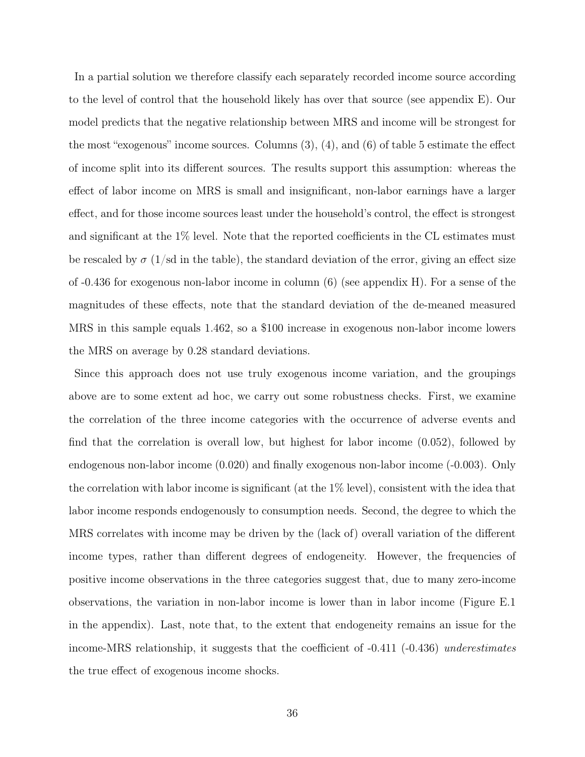In a partial solution we therefore classify each separately recorded income source according to the level of control that the household likely has over that source (see appendix E). Our model predicts that the negative relationship between MRS and income will be strongest for the most "exogenous" income sources. Columns (3), (4), and (6) of table 5 estimate the effect of income split into its different sources. The results support this assumption: whereas the effect of labor income on MRS is small and insignificant, non-labor earnings have a larger effect, and for those income sources least under the household's control, the effect is strongest and significant at the 1% level. Note that the reported coefficients in the CL estimates must be rescaled by  $\sigma$  (1/sd in the table), the standard deviation of the error, giving an effect size of -0.436 for exogenous non-labor income in column (6) (see appendix H). For a sense of the magnitudes of these effects, note that the standard deviation of the de-meaned measured MRS in this sample equals 1.462, so a \$100 increase in exogenous non-labor income lowers the MRS on average by 0.28 standard deviations.

Since this approach does not use truly exogenous income variation, and the groupings above are to some extent ad hoc, we carry out some robustness checks. First, we examine the correlation of the three income categories with the occurrence of adverse events and find that the correlation is overall low, but highest for labor income (0.052), followed by endogenous non-labor income (0.020) and finally exogenous non-labor income (-0.003). Only the correlation with labor income is significant (at the 1% level), consistent with the idea that labor income responds endogenously to consumption needs. Second, the degree to which the MRS correlates with income may be driven by the (lack of) overall variation of the different income types, rather than different degrees of endogeneity. However, the frequencies of positive income observations in the three categories suggest that, due to many zero-income observations, the variation in non-labor income is lower than in labor income (Figure E.1 in the appendix). Last, note that, to the extent that endogeneity remains an issue for the income-MRS relationship, it suggests that the coefficient of -0.411 (-0.436) underestimates the true effect of exogenous income shocks.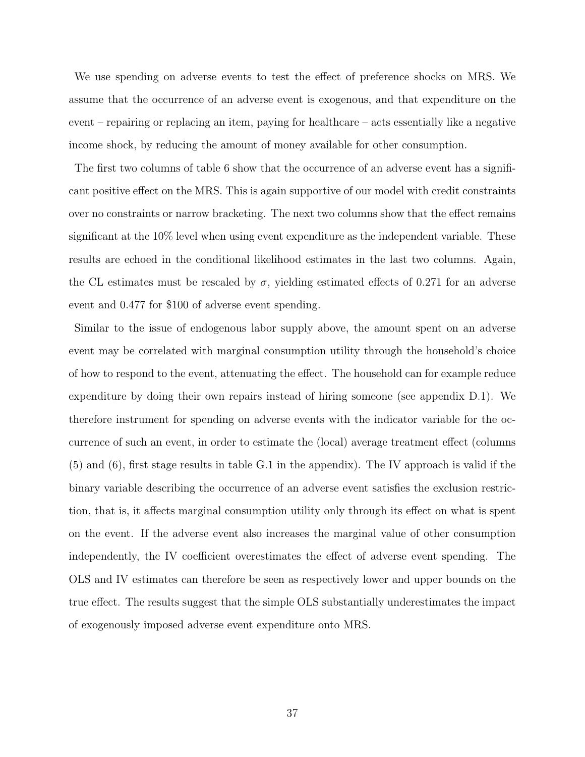We use spending on adverse events to test the effect of preference shocks on MRS. We assume that the occurrence of an adverse event is exogenous, and that expenditure on the event – repairing or replacing an item, paying for healthcare – acts essentially like a negative income shock, by reducing the amount of money available for other consumption.

The first two columns of table 6 show that the occurrence of an adverse event has a significant positive effect on the MRS. This is again supportive of our model with credit constraints over no constraints or narrow bracketing. The next two columns show that the effect remains significant at the 10% level when using event expenditure as the independent variable. These results are echoed in the conditional likelihood estimates in the last two columns. Again, the CL estimates must be rescaled by  $\sigma$ , yielding estimated effects of 0.271 for an adverse event and 0.477 for \$100 of adverse event spending.

Similar to the issue of endogenous labor supply above, the amount spent on an adverse event may be correlated with marginal consumption utility through the household's choice of how to respond to the event, attenuating the effect. The household can for example reduce expenditure by doing their own repairs instead of hiring someone (see appendix D.1). We therefore instrument for spending on adverse events with the indicator variable for the occurrence of such an event, in order to estimate the (local) average treatment effect (columns (5) and (6), first stage results in table G.1 in the appendix). The IV approach is valid if the binary variable describing the occurrence of an adverse event satisfies the exclusion restriction, that is, it affects marginal consumption utility only through its effect on what is spent on the event. If the adverse event also increases the marginal value of other consumption independently, the IV coefficient overestimates the effect of adverse event spending. The OLS and IV estimates can therefore be seen as respectively lower and upper bounds on the true effect. The results suggest that the simple OLS substantially underestimates the impact of exogenously imposed adverse event expenditure onto MRS.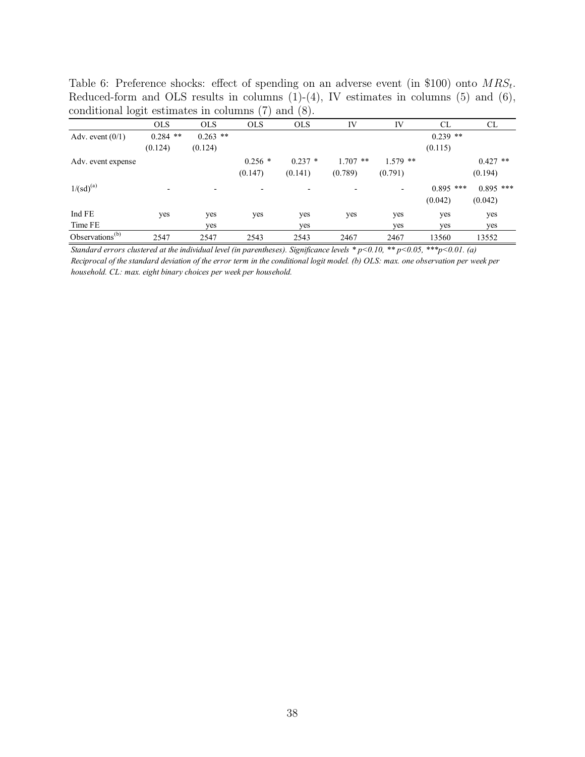| conditional logit estimates in columns (7) |            |            |            | (8).<br>and |            |            |             |             |
|--------------------------------------------|------------|------------|------------|-------------|------------|------------|-------------|-------------|
|                                            | <b>OLS</b> | <b>OLS</b> | <b>OLS</b> | <b>OLS</b>  | IV         | IV         | <b>CL</b>   | CL          |
| Adv. event $(0/1)$                         | $0.284$ ** | $0.263$ ** |            |             |            |            | $0.239$ **  |             |
|                                            | (0.124)    | (0.124)    |            |             |            |            | (0.115)     |             |
| Adv. event expense                         |            |            | $0.256$ *  | $0.237*$    | $1.707$ ** | $1.579$ ** |             | $0.427$ **  |
|                                            |            |            | (0.147)    | (0.141)     | (0.789)    | (0.791)    |             | (0.194)     |
| $1/(sd)^{(a)}$                             |            |            |            |             |            |            | $0.895$ *** | $0.895$ *** |
|                                            |            |            |            |             |            |            | (0.042)     | (0.042)     |
| Ind FE                                     | yes        | yes        | yes        | yes         | yes        | yes        | yes         | yes         |
| Time FE                                    |            | yes        |            | yes         |            | yes        | yes         | yes         |
| Observations $(b)$                         | 2547       | 2547       | 2543       | 2543        | 2467       | 2467       | 13560       | 13552       |

Table 6: Preference shocks: effect of spending on an adverse event (in \$100) onto  $MRS_t$ . Reduced-form and OLS results in columns  $(1)-(4)$ , IV estimates in columns  $(5)$  and  $(6)$ ,

*Standard errors clustered at the individual level (in parentheses). Significance levels \* p<0.10, \*\* p<0.05, \*\*\*p<0.01. (a) Reciprocal of the standard deviation of the error term in the conditional logit model. (b) OLS: max. one observation per week per household. CL: max. eight binary choices per week per household.*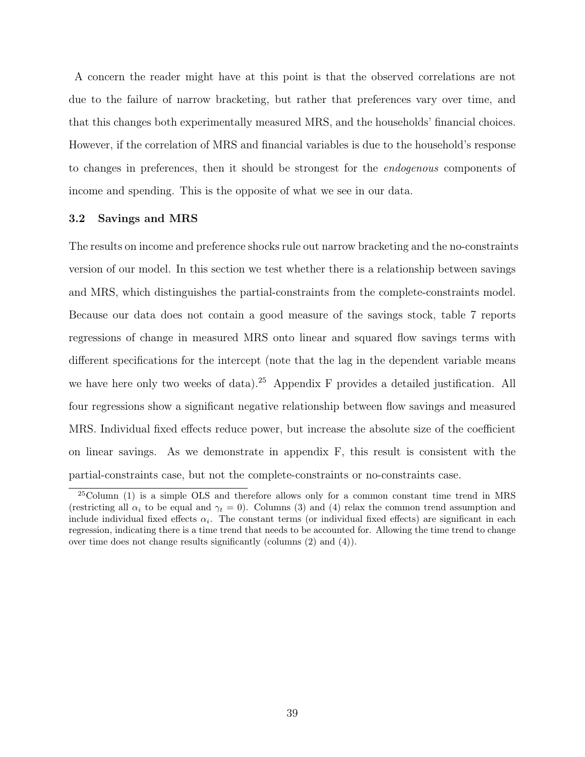A concern the reader might have at this point is that the observed correlations are not due to the failure of narrow bracketing, but rather that preferences vary over time, and that this changes both experimentally measured MRS, and the households' financial choices. However, if the correlation of MRS and financial variables is due to the household's response to changes in preferences, then it should be strongest for the endogenous components of income and spending. This is the opposite of what we see in our data.

#### 3.2 Savings and MRS

The results on income and preference shocks rule out narrow bracketing and the no-constraints version of our model. In this section we test whether there is a relationship between savings and MRS, which distinguishes the partial-constraints from the complete-constraints model. Because our data does not contain a good measure of the savings stock, table 7 reports regressions of change in measured MRS onto linear and squared flow savings terms with different specifications for the intercept (note that the lag in the dependent variable means we have here only two weeks of data).<sup>25</sup> Appendix F provides a detailed justification. All four regressions show a significant negative relationship between flow savings and measured MRS. Individual fixed effects reduce power, but increase the absolute size of the coefficient on linear savings. As we demonstrate in appendix F, this result is consistent with the partial-constraints case, but not the complete-constraints or no-constraints case.

<sup>25</sup>Column (1) is a simple OLS and therefore allows only for a common constant time trend in MRS (restricting all  $\alpha_i$  to be equal and  $\gamma_t = 0$ ). Columns (3) and (4) relax the common trend assumption and include individual fixed effects  $\alpha_i$ . The constant terms (or individual fixed effects) are significant in each regression, indicating there is a time trend that needs to be accounted for. Allowing the time trend to change over time does not change results significantly (columns (2) and (4)).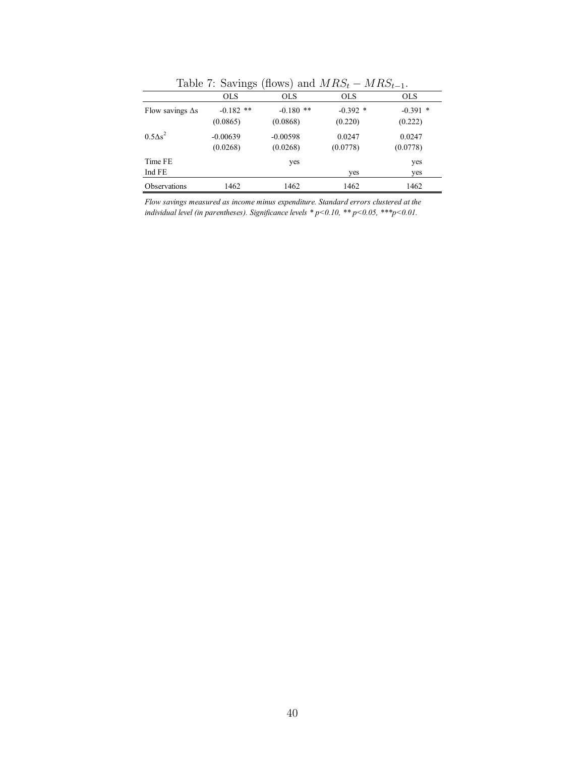|                         | $\frac{1}{2}$           |                         | $\frac{1}{2}$         | $\cdots$ $\cdots$ $\cdots$ |
|-------------------------|-------------------------|-------------------------|-----------------------|----------------------------|
|                         | <b>OLS</b>              | <b>OLS</b>              | <b>OLS</b>            | <b>OLS</b>                 |
| Flow savings $\Delta s$ | $-0.182$ **<br>(0.0865) | $-0.180$ **<br>(0.0868) | $-0.392$ *<br>(0.220) | $-0.391$ *<br>(0.222)      |
| $0.5\Delta s^2$         | $-0.00639$<br>(0.0268)  | $-0.00598$<br>(0.0268)  | 0.0247<br>(0.0778)    | 0.0247<br>(0.0778)         |
| Time FE<br>Ind FE       |                         | yes                     | yes                   | yes<br>yes                 |
| Observations            | 1462                    | 1462                    | 1462                  | 1462                       |

Table 7: Savings (flows) and  $MRS_t - MRS_{t-1}$ .

*Flow savings measured as income minus expenditure. Standard errors clustered at the individual level (in parentheses). Significance levels \* p<0.10, \*\* p<0.05, \*\*\*p<0.01.*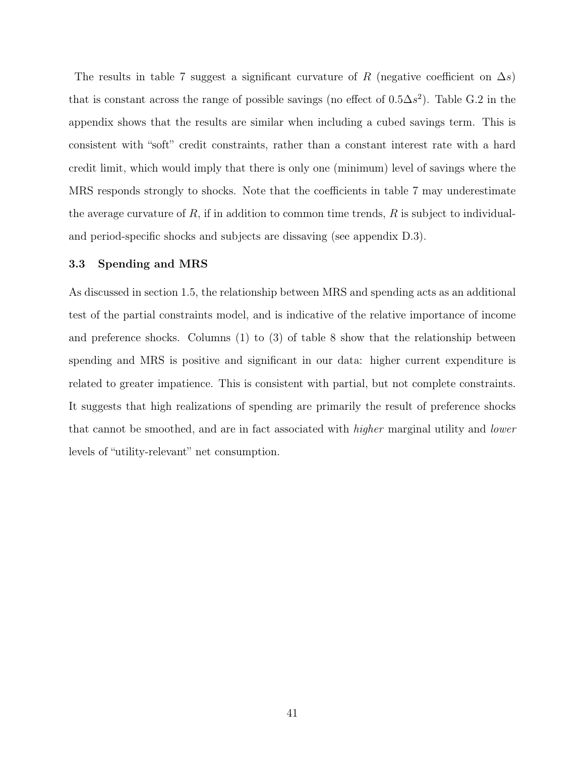The results in table 7 suggest a significant curvature of R (negative coefficient on  $\Delta s$ ) that is constant across the range of possible savings (no effect of  $0.5\Delta s^2$ ). Table G.2 in the appendix shows that the results are similar when including a cubed savings term. This is consistent with "soft" credit constraints, rather than a constant interest rate with a hard credit limit, which would imply that there is only one (minimum) level of savings where the MRS responds strongly to shocks. Note that the coefficients in table 7 may underestimate the average curvature of R, if in addition to common time trends,  $R$  is subject to individualand period-specific shocks and subjects are dissaving (see appendix D.3).

#### 3.3 Spending and MRS

As discussed in section 1.5, the relationship between MRS and spending acts as an additional test of the partial constraints model, and is indicative of the relative importance of income and preference shocks. Columns (1) to (3) of table 8 show that the relationship between spending and MRS is positive and significant in our data: higher current expenditure is related to greater impatience. This is consistent with partial, but not complete constraints. It suggests that high realizations of spending are primarily the result of preference shocks that cannot be smoothed, and are in fact associated with higher marginal utility and lower levels of "utility-relevant" net consumption.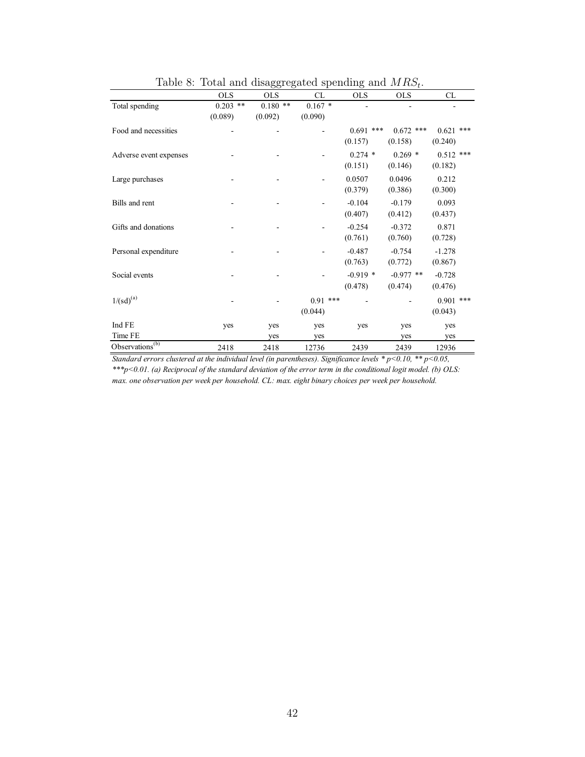|                                  |            | $\tilde{}$ |            |             |             |             |
|----------------------------------|------------|------------|------------|-------------|-------------|-------------|
|                                  | <b>OLS</b> | <b>OLS</b> | CL         | <b>OLS</b>  | <b>OLS</b>  | CL          |
| Total spending                   | $0.203$ ** | $0.180**$  | $0.167*$   |             |             |             |
|                                  | (0.089)    | (0.092)    | (0.090)    |             |             |             |
| Food and necessities             |            |            |            | $0.691$ *** | $0.672$ *** | $0.621$ *** |
|                                  |            |            |            | (0.157)     | (0.158)     | (0.240)     |
| Adverse event expenses           |            |            |            | $0.274$ *   | $0.269*$    | $0.512$ *** |
|                                  |            |            |            | (0.151)     | (0.146)     | (0.182)     |
| Large purchases                  |            |            |            | 0.0507      | 0.0496      | 0.212       |
|                                  |            |            |            | (0.379)     | (0.386)     | (0.300)     |
| Bills and rent                   |            |            |            | $-0.104$    | $-0.179$    | 0.093       |
|                                  |            |            |            | (0.407)     | (0.412)     | (0.437)     |
| Gifts and donations              |            |            |            | $-0.254$    | $-0.372$    | 0.871       |
|                                  |            |            |            | (0.761)     | (0.760)     | (0.728)     |
| Personal expenditure             |            |            |            | $-0.487$    | $-0.754$    | $-1.278$    |
|                                  |            |            |            | (0.763)     | (0.772)     | (0.867)     |
| Social events                    |            |            |            | $-0.919$ *  | $-0.977$ ** | $-0.728$    |
|                                  |            |            |            | (0.478)     | (0.474)     | (0.476)     |
| $1/(sd)^{(a)}$                   |            |            | $0.91$ *** |             |             | $0.901$ *** |
|                                  |            |            | (0.044)    |             |             | (0.043)     |
| Ind FE                           | yes        | yes        | yes        | yes         | yes         | yes         |
| Time FE                          |            | yes        | yes        |             | yes         | yes         |
| Observations $\overline{^{(b)}}$ | 2418       | 2418       | 12736      | 2439        | 2439        | 12936       |

Table 8: Total and disaggregated spending and  $MRS_t$ .

*Standard errors clustered at the individual level (in parentheses). Significance levels \* p<0.10, \*\* p<0.05, \*\*\*p<0.01. (a) Reciprocal of the standard deviation of the error term in the conditional logit model. (b) OLS: max. one observation per week per household. CL: max. eight binary choices per week per household.*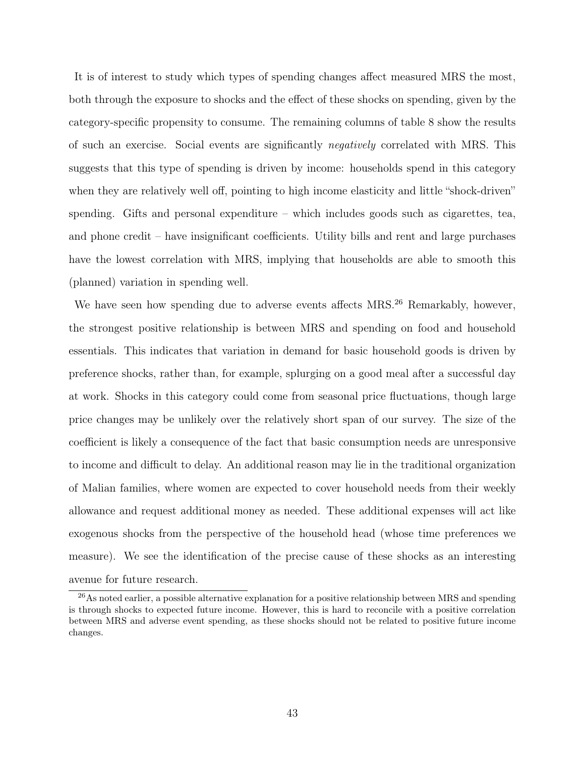It is of interest to study which types of spending changes affect measured MRS the most, both through the exposure to shocks and the effect of these shocks on spending, given by the category-specific propensity to consume. The remaining columns of table 8 show the results of such an exercise. Social events are significantly negatively correlated with MRS. This suggests that this type of spending is driven by income: households spend in this category when they are relatively well off, pointing to high income elasticity and little "shock-driven" spending. Gifts and personal expenditure – which includes goods such as cigarettes, tea, and phone credit – have insignificant coefficients. Utility bills and rent and large purchases have the lowest correlation with MRS, implying that households are able to smooth this (planned) variation in spending well.

We have seen how spending due to adverse events affects MRS.<sup>26</sup> Remarkably, however, the strongest positive relationship is between MRS and spending on food and household essentials. This indicates that variation in demand for basic household goods is driven by preference shocks, rather than, for example, splurging on a good meal after a successful day at work. Shocks in this category could come from seasonal price fluctuations, though large price changes may be unlikely over the relatively short span of our survey. The size of the coefficient is likely a consequence of the fact that basic consumption needs are unresponsive to income and difficult to delay. An additional reason may lie in the traditional organization of Malian families, where women are expected to cover household needs from their weekly allowance and request additional money as needed. These additional expenses will act like exogenous shocks from the perspective of the household head (whose time preferences we measure). We see the identification of the precise cause of these shocks as an interesting avenue for future research.

<sup>&</sup>lt;sup>26</sup>As noted earlier, a possible alternative explanation for a positive relationship between MRS and spending is through shocks to expected future income. However, this is hard to reconcile with a positive correlation between MRS and adverse event spending, as these shocks should not be related to positive future income changes.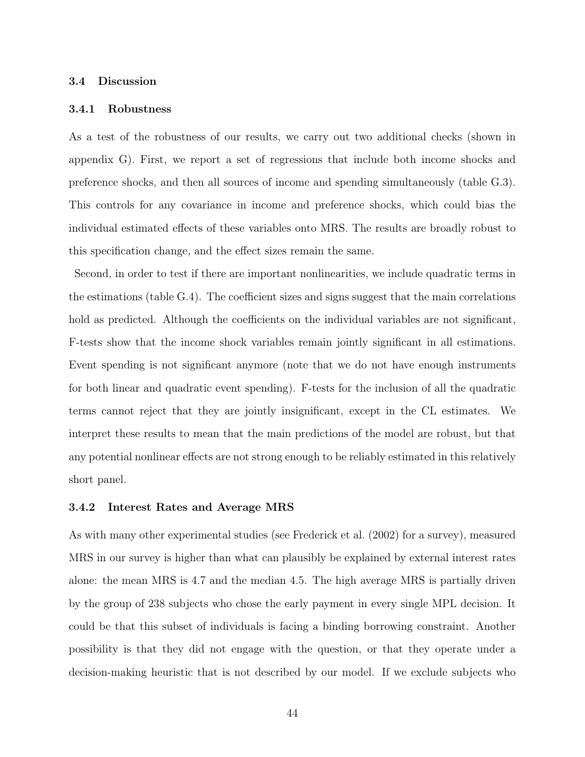#### 3.4 Discussion

#### 3.4.1 Robustness

As a test of the robustness of our results, we carry out two additional checks (shown in appendix G). First, we report a set of regressions that include both income shocks and preference shocks, and then all sources of income and spending simultaneously (table G.3). This controls for any covariance in income and preference shocks, which could bias the individual estimated effects of these variables onto MRS. The results are broadly robust to this specification change, and the effect sizes remain the same.

Second, in order to test if there are important nonlinearities, we include quadratic terms in the estimations (table G.4). The coefficient sizes and signs suggest that the main correlations hold as predicted. Although the coefficients on the individual variables are not significant, F-tests show that the income shock variables remain jointly significant in all estimations. Event spending is not significant anymore (note that we do not have enough instruments for both linear and quadratic event spending). F-tests for the inclusion of all the quadratic terms cannot reject that they are jointly insignificant, except in the CL estimates. We interpret these results to mean that the main predictions of the model are robust, but that any potential nonlinear effects are not strong enough to be reliably estimated in this relatively short panel.

#### 3.4.2 Interest Rates and Average MRS

As with many other experimental studies (see Frederick et al. (2002) for a survey), measured MRS in our survey is higher than what can plausibly be explained by external interest rates alone: the mean MRS is 4.7 and the median 4.5. The high average MRS is partially driven by the group of 238 subjects who chose the early payment in every single MPL decision. It could be that this subset of individuals is facing a binding borrowing constraint. Another possibility is that they did not engage with the question, or that they operate under a decision-making heuristic that is not described by our model. If we exclude subjects who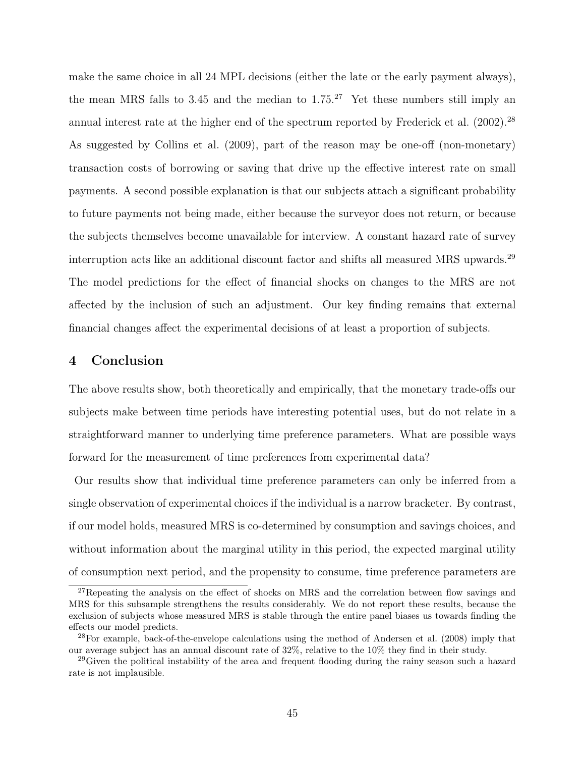make the same choice in all 24 MPL decisions (either the late or the early payment always), the mean MRS falls to 3.45 and the median to  $1.75^{27}$  Yet these numbers still imply an annual interest rate at the higher end of the spectrum reported by Frederick et al. (2002).<sup>28</sup> As suggested by Collins et al. (2009), part of the reason may be one-off (non-monetary) transaction costs of borrowing or saving that drive up the effective interest rate on small payments. A second possible explanation is that our subjects attach a significant probability to future payments not being made, either because the surveyor does not return, or because the subjects themselves become unavailable for interview. A constant hazard rate of survey interruption acts like an additional discount factor and shifts all measured MRS upwards.<sup>29</sup> The model predictions for the effect of financial shocks on changes to the MRS are not affected by the inclusion of such an adjustment. Our key finding remains that external financial changes affect the experimental decisions of at least a proportion of subjects.

## 4 Conclusion

The above results show, both theoretically and empirically, that the monetary trade-offs our subjects make between time periods have interesting potential uses, but do not relate in a straightforward manner to underlying time preference parameters. What are possible ways forward for the measurement of time preferences from experimental data?

Our results show that individual time preference parameters can only be inferred from a single observation of experimental choices if the individual is a narrow bracketer. By contrast, if our model holds, measured MRS is co-determined by consumption and savings choices, and without information about the marginal utility in this period, the expected marginal utility of consumption next period, and the propensity to consume, time preference parameters are

 $27$ Repeating the analysis on the effect of shocks on MRS and the correlation between flow savings and MRS for this subsample strengthens the results considerably. We do not report these results, because the exclusion of subjects whose measured MRS is stable through the entire panel biases us towards finding the effects our model predicts.

<sup>28</sup>For example, back-of-the-envelope calculations using the method of Andersen et al. (2008) imply that our average subject has an annual discount rate of  $32\%$ , relative to the  $10\%$  they find in their study.

<sup>&</sup>lt;sup>29</sup>Given the political instability of the area and frequent flooding during the rainy season such a hazard rate is not implausible.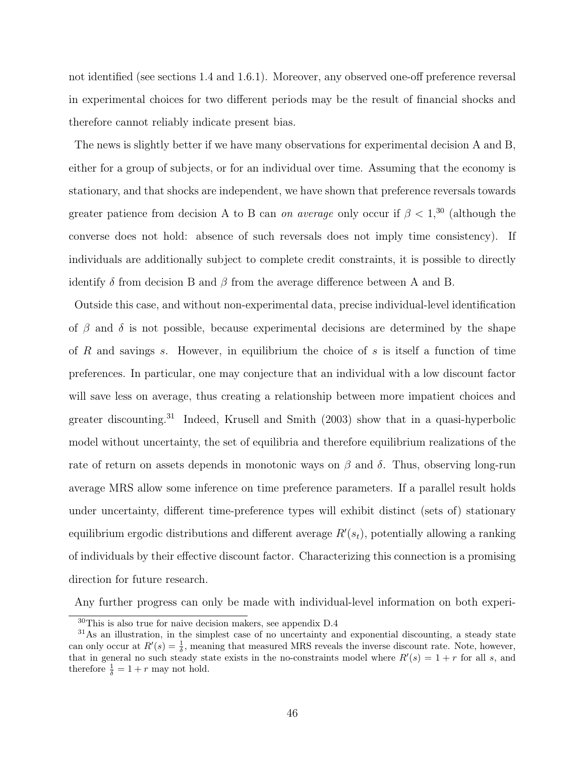not identified (see sections 1.4 and 1.6.1). Moreover, any observed one-off preference reversal in experimental choices for two different periods may be the result of financial shocks and therefore cannot reliably indicate present bias.

The news is slightly better if we have many observations for experimental decision A and B, either for a group of subjects, or for an individual over time. Assuming that the economy is stationary, and that shocks are independent, we have shown that preference reversals towards greater patience from decision A to B can on average only occur if  $\beta < 1$ ,<sup>30</sup> (although the converse does not hold: absence of such reversals does not imply time consistency). If individuals are additionally subject to complete credit constraints, it is possible to directly identify  $\delta$  from decision B and  $\beta$  from the average difference between A and B.

Outside this case, and without non-experimental data, precise individual-level identification of  $\beta$  and  $\delta$  is not possible, because experimental decisions are determined by the shape of R and savings s. However, in equilibrium the choice of s is itself a function of time preferences. In particular, one may conjecture that an individual with a low discount factor will save less on average, thus creating a relationship between more impatient choices and greater discounting.<sup>31</sup> Indeed, Krusell and Smith (2003) show that in a quasi-hyperbolic model without uncertainty, the set of equilibria and therefore equilibrium realizations of the rate of return on assets depends in monotonic ways on  $\beta$  and  $\delta$ . Thus, observing long-run average MRS allow some inference on time preference parameters. If a parallel result holds under uncertainty, different time-preference types will exhibit distinct (sets of) stationary equilibrium ergodic distributions and different average  $R'(s_t)$ , potentially allowing a ranking of individuals by their effective discount factor. Characterizing this connection is a promising direction for future research.

Any further progress can only be made with individual-level information on both experi-

 ${}^{30}\mathrm{This}$  is also true for naive decision makers, see appendix D.4

<sup>31</sup>As an illustration, in the simplest case of no uncertainty and exponential discounting, a steady state can only occur at  $R'(s) = \frac{1}{\delta}$ , meaning that measured MRS reveals the inverse discount rate. Note, however, that in general no such steady state exists in the no-constraints model where  $R'(s) = 1 + r$  for all s, and therefore  $\frac{1}{\delta} = 1 + r$  may not hold.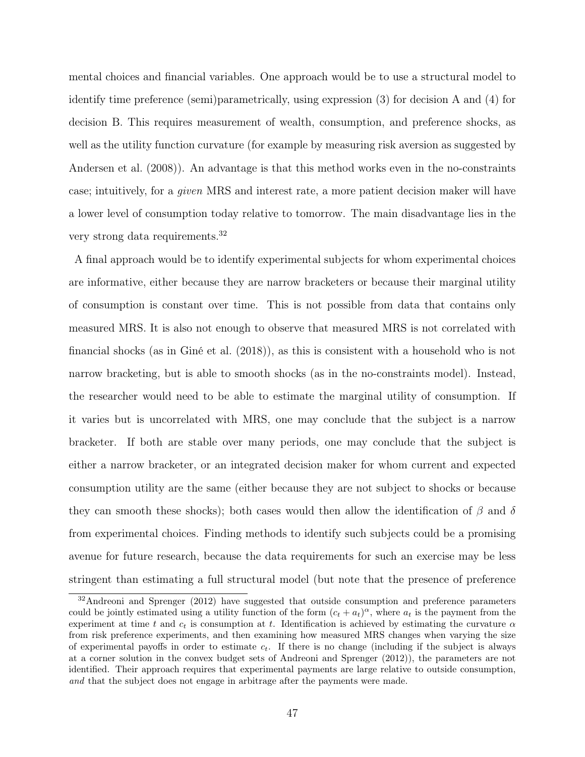mental choices and financial variables. One approach would be to use a structural model to identify time preference (semi)parametrically, using expression (3) for decision A and (4) for decision B. This requires measurement of wealth, consumption, and preference shocks, as well as the utility function curvature (for example by measuring risk aversion as suggested by Andersen et al. (2008)). An advantage is that this method works even in the no-constraints case; intuitively, for a given MRS and interest rate, a more patient decision maker will have a lower level of consumption today relative to tomorrow. The main disadvantage lies in the very strong data requirements.<sup>32</sup>

A final approach would be to identify experimental subjects for whom experimental choices are informative, either because they are narrow bracketers or because their marginal utility of consumption is constant over time. This is not possible from data that contains only measured MRS. It is also not enough to observe that measured MRS is not correlated with financial shocks (as in Giné et al. (2018)), as this is consistent with a household who is not narrow bracketing, but is able to smooth shocks (as in the no-constraints model). Instead, the researcher would need to be able to estimate the marginal utility of consumption. If it varies but is uncorrelated with MRS, one may conclude that the subject is a narrow bracketer. If both are stable over many periods, one may conclude that the subject is either a narrow bracketer, or an integrated decision maker for whom current and expected consumption utility are the same (either because they are not subject to shocks or because they can smooth these shocks); both cases would then allow the identification of  $\beta$  and  $\delta$ from experimental choices. Finding methods to identify such subjects could be a promising avenue for future research, because the data requirements for such an exercise may be less stringent than estimating a full structural model (but note that the presence of preference

<sup>&</sup>lt;sup>32</sup>Andreoni and Sprenger (2012) have suggested that outside consumption and preference parameters could be jointly estimated using a utility function of the form  $(c_t + a_t)^\alpha$ , where  $a_t$  is the payment from the experiment at time t and  $c_t$  is consumption at t. Identification is achieved by estimating the curvature  $\alpha$ from risk preference experiments, and then examining how measured MRS changes when varying the size of experimental payoffs in order to estimate  $c_t$ . If there is no change (including if the subject is always at a corner solution in the convex budget sets of Andreoni and Sprenger (2012)), the parameters are not identified. Their approach requires that experimental payments are large relative to outside consumption, and that the subject does not engage in arbitrage after the payments were made.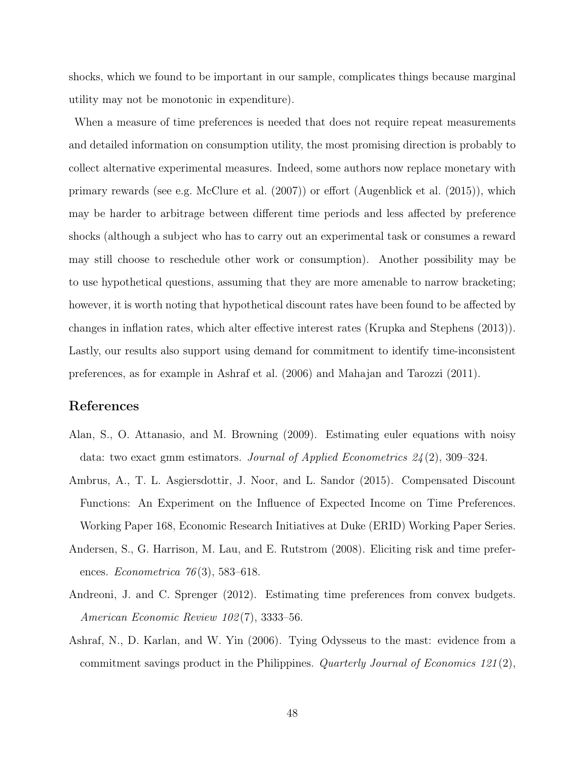shocks, which we found to be important in our sample, complicates things because marginal utility may not be monotonic in expenditure).

When a measure of time preferences is needed that does not require repeat measurements and detailed information on consumption utility, the most promising direction is probably to collect alternative experimental measures. Indeed, some authors now replace monetary with primary rewards (see e.g. McClure et al. (2007)) or effort (Augenblick et al. (2015)), which may be harder to arbitrage between different time periods and less affected by preference shocks (although a subject who has to carry out an experimental task or consumes a reward may still choose to reschedule other work or consumption). Another possibility may be to use hypothetical questions, assuming that they are more amenable to narrow bracketing; however, it is worth noting that hypothetical discount rates have been found to be affected by changes in inflation rates, which alter effective interest rates (Krupka and Stephens (2013)). Lastly, our results also support using demand for commitment to identify time-inconsistent preferences, as for example in Ashraf et al. (2006) and Mahajan and Tarozzi (2011).

## References

- Alan, S., O. Attanasio, and M. Browning (2009). Estimating euler equations with noisy data: two exact gmm estimators. Journal of Applied Econometrics  $24(2)$ , 309-324.
- Ambrus, A., T. L. Asgiersdottir, J. Noor, and L. Sandor (2015). Compensated Discount Functions: An Experiment on the Influence of Expected Income on Time Preferences. Working Paper 168, Economic Research Initiatives at Duke (ERID) Working Paper Series.
- Andersen, S., G. Harrison, M. Lau, and E. Rutstrom (2008). Eliciting risk and time preferences. *Econometrica* 76(3), 583–618.
- Andreoni, J. and C. Sprenger (2012). Estimating time preferences from convex budgets. American Economic Review 102 (7), 3333–56.
- Ashraf, N., D. Karlan, and W. Yin (2006). Tying Odysseus to the mast: evidence from a commitment savings product in the Philippines. Quarterly Journal of Economics 121(2),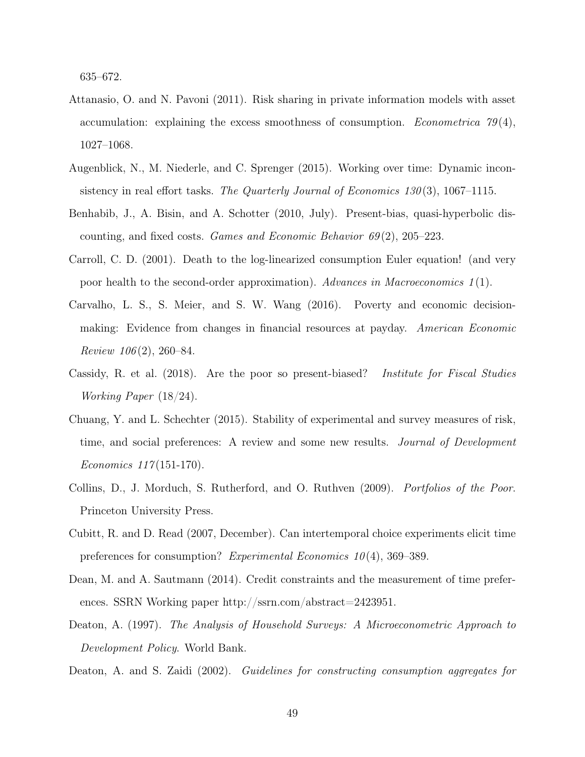635–672.

- Attanasio, O. and N. Pavoni (2011). Risk sharing in private information models with asset accumulation: explaining the excess smoothness of consumption. *Econometrica*  $79(4)$ , 1027–1068.
- Augenblick, N., M. Niederle, and C. Sprenger (2015). Working over time: Dynamic inconsistency in real effort tasks. The Quarterly Journal of Economics  $130(3)$ ,  $1067-1115$ .
- Benhabib, J., A. Bisin, and A. Schotter (2010, July). Present-bias, quasi-hyperbolic discounting, and fixed costs. Games and Economic Behavior  $69(2)$ , 205–223.
- Carroll, C. D. (2001). Death to the log-linearized consumption Euler equation! (and very poor health to the second-order approximation). Advances in Macroeconomics 1 (1).
- Carvalho, L. S., S. Meier, and S. W. Wang (2016). Poverty and economic decisionmaking: Evidence from changes in financial resources at payday. American Economic Review  $106(2)$ , 260–84.
- Cassidy, R. et al. (2018). Are the poor so present-biased? Institute for Fiscal Studies Working Paper (18/24).
- Chuang, Y. and L. Schechter (2015). Stability of experimental and survey measures of risk, time, and social preferences: A review and some new results. *Journal of Development* Economics 117 (151-170).
- Collins, D., J. Morduch, S. Rutherford, and O. Ruthven (2009). Portfolios of the Poor. Princeton University Press.
- Cubitt, R. and D. Read (2007, December). Can intertemporal choice experiments elicit time preferences for consumption? Experimental Economics  $10(4)$ , 369–389.
- Dean, M. and A. Sautmann (2014). Credit constraints and the measurement of time preferences. SSRN Working paper http://ssrn.com/abstract=2423951.
- Deaton, A. (1997). The Analysis of Household Surveys: A Microeconometric Approach to Development Policy. World Bank.
- Deaton, A. and S. Zaidi (2002). Guidelines for constructing consumption aggregates for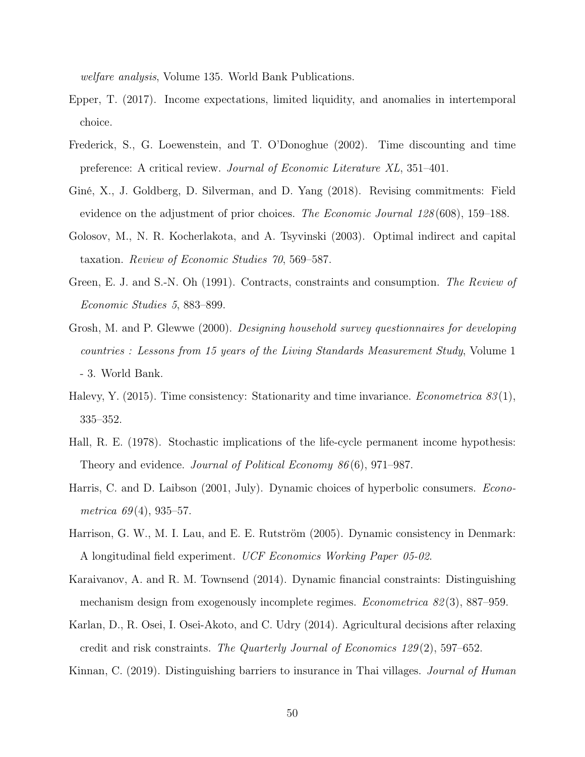welfare analysis, Volume 135. World Bank Publications.

- Epper, T. (2017). Income expectations, limited liquidity, and anomalies in intertemporal choice.
- Frederick, S., G. Loewenstein, and T. O'Donoghue (2002). Time discounting and time preference: A critical review. Journal of Economic Literature XL, 351–401.
- Giné, X., J. Goldberg, D. Silverman, and D. Yang (2018). Revising commitments: Field evidence on the adjustment of prior choices. The Economic Journal 128 (608), 159–188.
- Golosov, M., N. R. Kocherlakota, and A. Tsyvinski (2003). Optimal indirect and capital taxation. Review of Economic Studies 70, 569–587.
- Green, E. J. and S.-N. Oh (1991). Contracts, constraints and consumption. The Review of Economic Studies 5, 883–899.
- Grosh, M. and P. Glewwe (2000). Designing household survey questionnaires for developing countries : Lessons from 15 years of the Living Standards Measurement Study, Volume 1 - 3. World Bank.
- Halevy, Y. (2015). Time consistency: Stationarity and time invariance. *Econometrica* 83(1), 335–352.
- Hall, R. E. (1978). Stochastic implications of the life-cycle permanent income hypothesis: Theory and evidence. Journal of Political Economy 86 (6), 971–987.
- Harris, C. and D. Laibson (2001, July). Dynamic choices of hyperbolic consumers. *Econo*metrica  $69(4)$ , 935–57.
- Harrison, G. W., M. I. Lau, and E. E. Rutström (2005). Dynamic consistency in Denmark: A longitudinal field experiment. UCF Economics Working Paper 05-02.
- Karaivanov, A. and R. M. Townsend (2014). Dynamic financial constraints: Distinguishing mechanism design from exogenously incomplete regimes. *Econometrica 82(3)*, 887–959.
- Karlan, D., R. Osei, I. Osei-Akoto, and C. Udry (2014). Agricultural decisions after relaxing credit and risk constraints. The Quarterly Journal of Economics 129 (2), 597–652.
- Kinnan, C. (2019). Distinguishing barriers to insurance in Thai villages. *Journal of Human*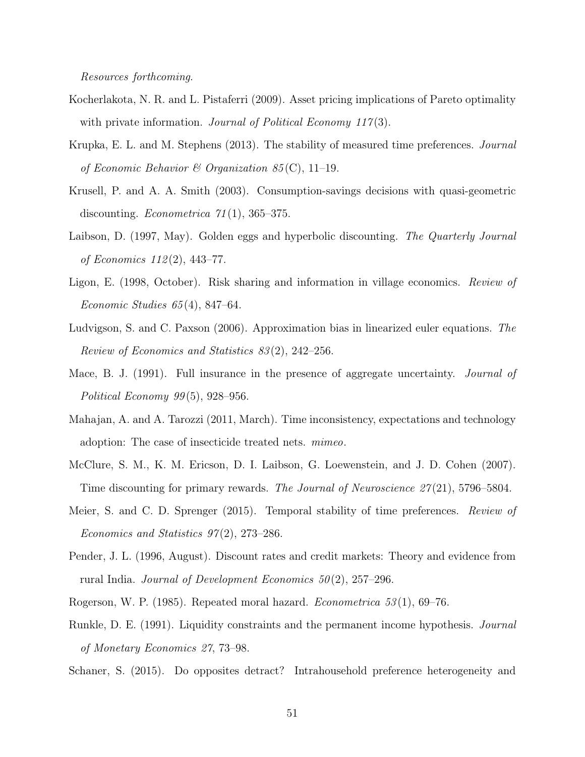Resources forthcoming.

- Kocherlakota, N. R. and L. Pistaferri (2009). Asset pricing implications of Pareto optimality with private information. Journal of Political Economy  $117(3)$ .
- Krupka, E. L. and M. Stephens (2013). The stability of measured time preferences. *Journal* of Economic Behavior & Organization 85(C), 11-19.
- Krusell, P. and A. A. Smith (2003). Consumption-savings decisions with quasi-geometric discounting. *Econometrica*  $71(1)$ , 365–375.
- Laibson, D. (1997, May). Golden eggs and hyperbolic discounting. The Quarterly Journal of Economics 112 (2), 443–77.
- Ligon, E. (1998, October). Risk sharing and information in village economics. Review of Economic Studies 65 (4), 847–64.
- Ludvigson, S. and C. Paxson (2006). Approximation bias in linearized euler equations. The Review of Economics and Statistics 83 (2), 242–256.
- Mace, B. J. (1991). Full insurance in the presence of aggregate uncertainty. *Journal of* Political Economy  $99(5)$ , 928–956.
- Mahajan, A. and A. Tarozzi (2011, March). Time inconsistency, expectations and technology adoption: The case of insecticide treated nets. mimeo.
- McClure, S. M., K. M. Ericson, D. I. Laibson, G. Loewenstein, and J. D. Cohen (2007). Time discounting for primary rewards. The Journal of Neuroscience 27(21), 5796–5804.
- Meier, S. and C. D. Sprenger (2015). Temporal stability of time preferences. *Review of* Economics and Statistics  $97(2)$ , 273–286.
- Pender, J. L. (1996, August). Discount rates and credit markets: Theory and evidence from rural India. Journal of Development Economics 50 (2), 257–296.
- Rogerson, W. P. (1985). Repeated moral hazard. *Econometrica* 53(1), 69–76.
- Runkle, D. E. (1991). Liquidity constraints and the permanent income hypothesis. Journal of Monetary Economics 27, 73–98.
- Schaner, S. (2015). Do opposites detract? Intrahousehold preference heterogeneity and